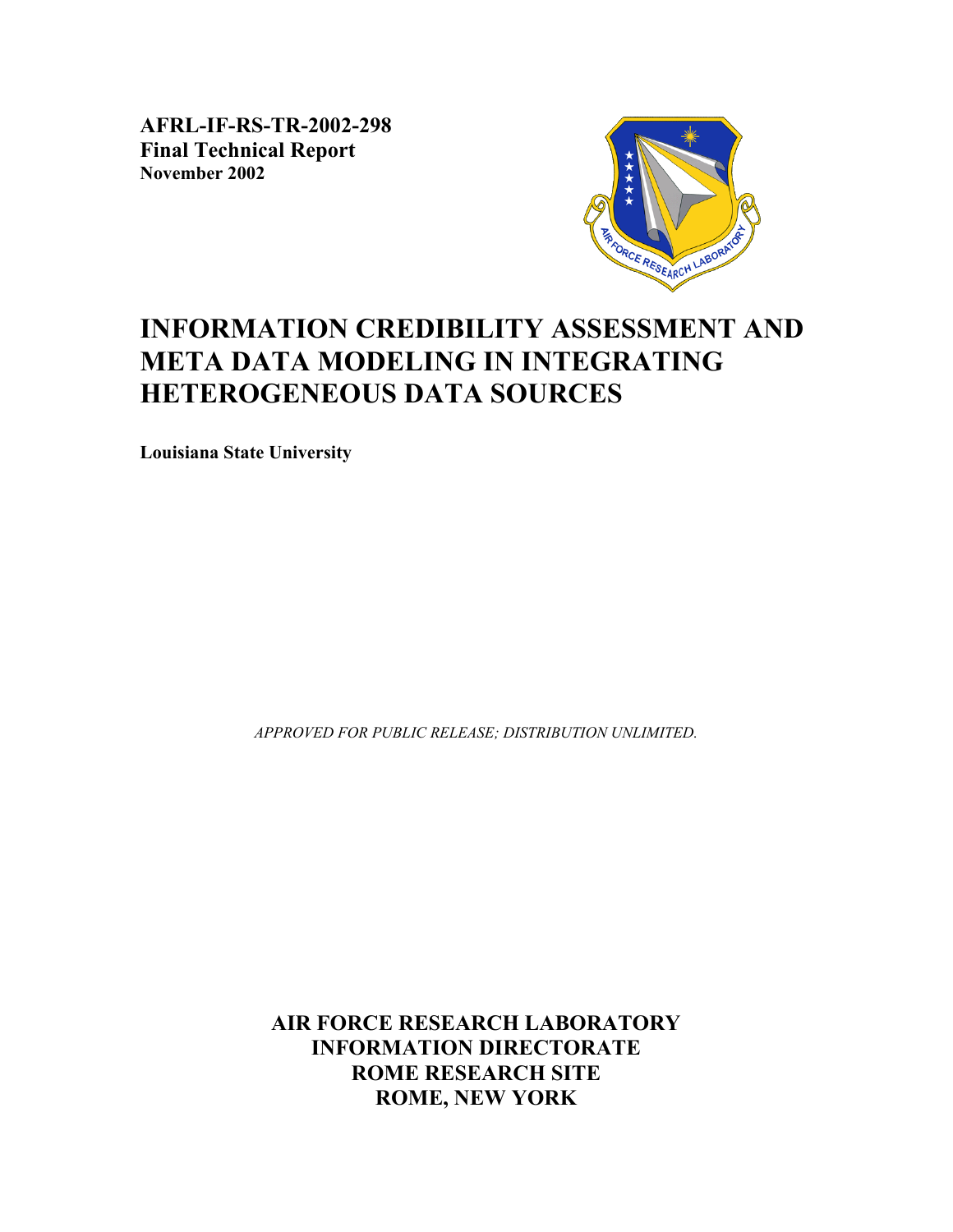**AFRL-IF-RS-TR-2002-298 Final Technical Report November 2002** 



# **INFORMATION CREDIBILITY ASSESSMENT AND META DATA MODELING IN INTEGRATING HETEROGENEOUS DATA SOURCES**

**Louisiana State University** 

*APPROVED FOR PUBLIC RELEASE; DISTRIBUTION UNLIMITED.*

**AIR FORCE RESEARCH LABORATORY INFORMATION DIRECTORATE ROME RESEARCH SITE ROME, NEW YORK**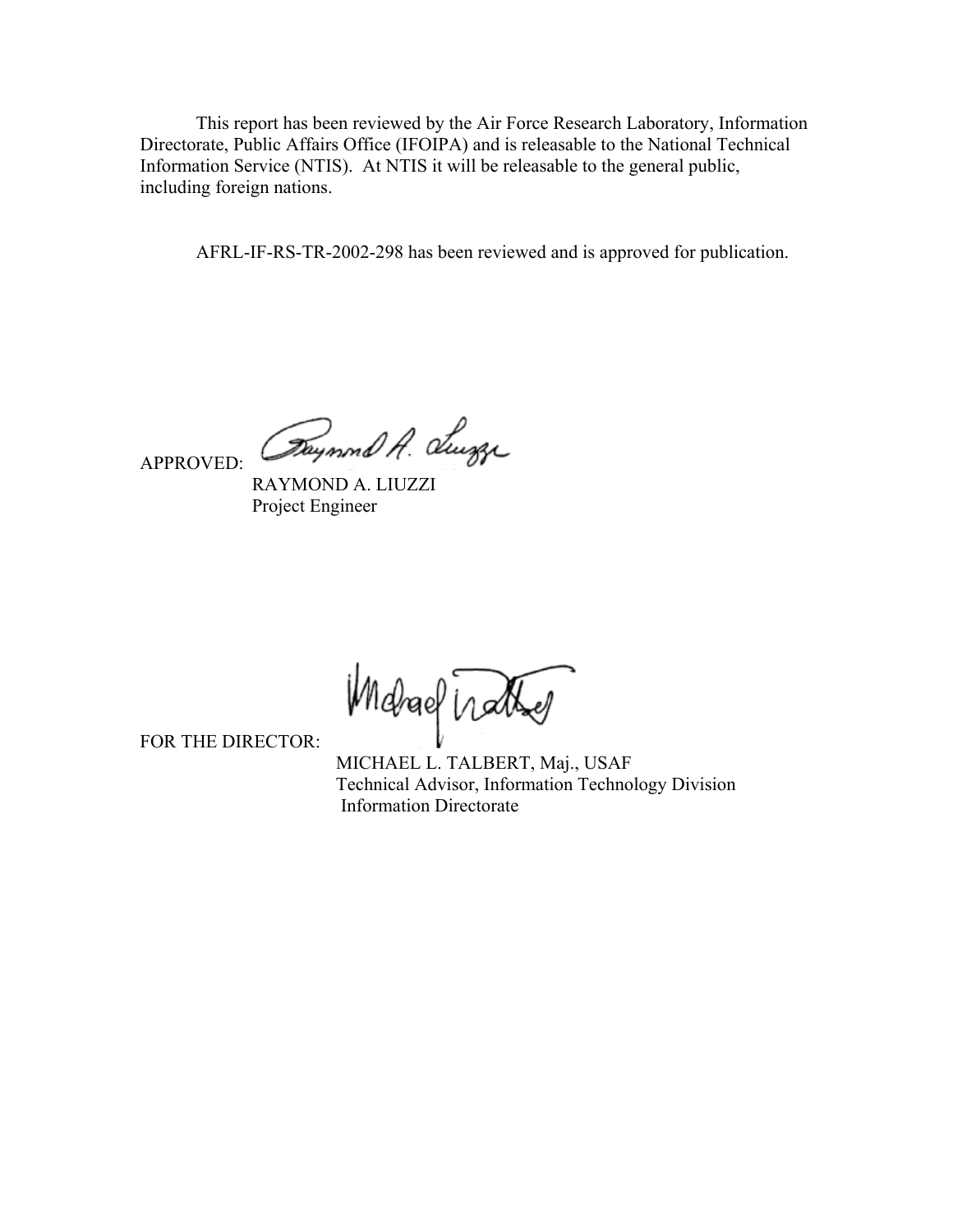This report has been reviewed by the Air Force Research Laboratory, Information Directorate, Public Affairs Office (IFOIPA) and is releasable to the National Technical Information Service (NTIS). At NTIS it will be releasable to the general public, including foreign nations.

AFRL-IF-RS-TR-2002-298 has been reviewed and is approved for publication.

APPROVED:

Daynond A. Sugge

 RAYMOND A. LIUZZI Project Engineer

Michael Wather

FOR THE DIRECTOR:

 MICHAEL L. TALBERT, Maj., USAF Technical Advisor, Information Technology Division Information Directorate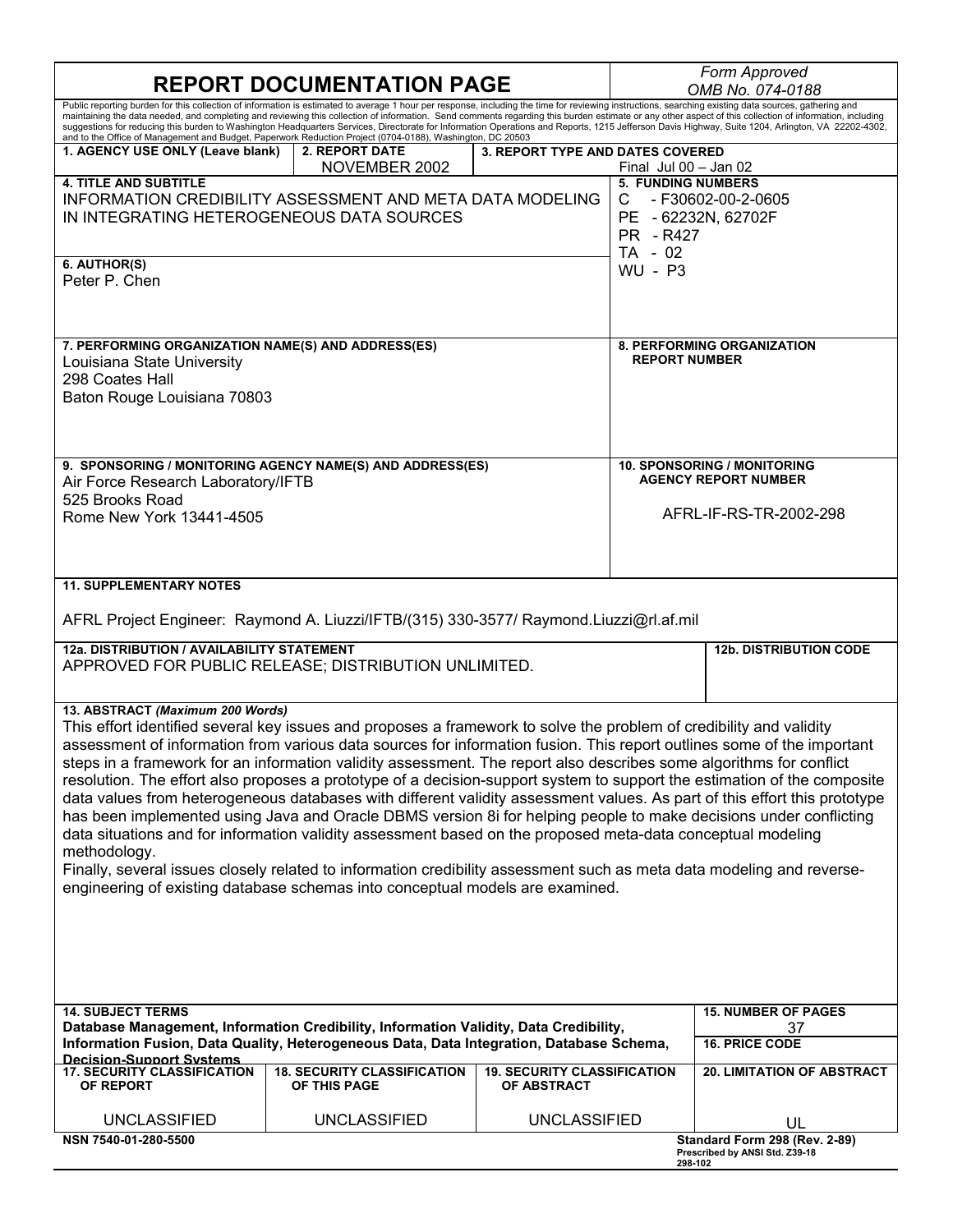| <b>REPORT DOCUMENTATION PAGE</b>                                                                                                                                                                                                                                                                                                                                                                                                                                                                                                                                                                                                                                                                                                                                                                                                                                                                                                                                                                                                                                                                                                |                                        |                                    |                                          | Form Approved<br>OMB No. 074-0188                                      |  |
|---------------------------------------------------------------------------------------------------------------------------------------------------------------------------------------------------------------------------------------------------------------------------------------------------------------------------------------------------------------------------------------------------------------------------------------------------------------------------------------------------------------------------------------------------------------------------------------------------------------------------------------------------------------------------------------------------------------------------------------------------------------------------------------------------------------------------------------------------------------------------------------------------------------------------------------------------------------------------------------------------------------------------------------------------------------------------------------------------------------------------------|----------------------------------------|------------------------------------|------------------------------------------|------------------------------------------------------------------------|--|
| Public reporting burden for this collection of information is estimated to average 1 hour per response, including the time for reviewing instructions, searching existing data sources, gathering and<br>maintaining the data needed, and completing and reviewing this collection of information. Send comments regarding this burden estimate or any other aspect of this collection of information, including<br>suggestions for reducing this burden to Washington Headquarters Services, Directorate for Information Operations and Reports, 1215 Jefferson Davis Highway, Suite 1204, Arlington, VA 22202-4302,<br>and to the Office of Management and Budget, Paperwork Reduction Project (0704-0188), Washington, DC 20503                                                                                                                                                                                                                                                                                                                                                                                              |                                        |                                    |                                          |                                                                        |  |
| 1. AGENCY USE ONLY (Leave blank)                                                                                                                                                                                                                                                                                                                                                                                                                                                                                                                                                                                                                                                                                                                                                                                                                                                                                                                                                                                                                                                                                                | <b>2. REPORT DATE</b><br>NOVEMBER 2002 | 3. REPORT TYPE AND DATES COVERED   | Final Jul $00 -$ Jan $02$                |                                                                        |  |
| <b>4. TITLE AND SUBTITLE</b><br>INFORMATION CREDIBILITY ASSESSMENT AND META DATA MODELING<br>C.<br>IN INTEGRATING HETEROGENEOUS DATA SOURCES<br>6. AUTHOR(S)<br>Peter P. Chen                                                                                                                                                                                                                                                                                                                                                                                                                                                                                                                                                                                                                                                                                                                                                                                                                                                                                                                                                   |                                        |                                    | PR - R427<br>$TA - 02$<br><b>WU - P3</b> | <b>5. FUNDING NUMBERS</b><br>- F30602-00-2-0605<br>PE - 62232N, 62702F |  |
|                                                                                                                                                                                                                                                                                                                                                                                                                                                                                                                                                                                                                                                                                                                                                                                                                                                                                                                                                                                                                                                                                                                                 |                                        |                                    |                                          |                                                                        |  |
| 7. PERFORMING ORGANIZATION NAME(S) AND ADDRESS(ES)<br>Louisiana State University<br>298 Coates Hall<br>Baton Rouge Louisiana 70803                                                                                                                                                                                                                                                                                                                                                                                                                                                                                                                                                                                                                                                                                                                                                                                                                                                                                                                                                                                              |                                        |                                    |                                          | <b>8. PERFORMING ORGANIZATION</b><br><b>REPORT NUMBER</b>              |  |
| 9. SPONSORING / MONITORING AGENCY NAME(S) AND ADDRESS(ES)<br>Air Force Research Laboratory/IFTB                                                                                                                                                                                                                                                                                                                                                                                                                                                                                                                                                                                                                                                                                                                                                                                                                                                                                                                                                                                                                                 |                                        |                                    |                                          | <b>10. SPONSORING / MONITORING</b><br><b>AGENCY REPORT NUMBER</b>      |  |
| 525 Brooks Road<br>Rome New York 13441-4505                                                                                                                                                                                                                                                                                                                                                                                                                                                                                                                                                                                                                                                                                                                                                                                                                                                                                                                                                                                                                                                                                     |                                        |                                    |                                          | AFRL-IF-RS-TR-2002-298                                                 |  |
| <b>11. SUPPLEMENTARY NOTES</b>                                                                                                                                                                                                                                                                                                                                                                                                                                                                                                                                                                                                                                                                                                                                                                                                                                                                                                                                                                                                                                                                                                  |                                        |                                    |                                          |                                                                        |  |
| AFRL Project Engineer: Raymond A. Liuzzi/IFTB/(315) 330-3577/ Raymond.Liuzzi@rl.af.mil                                                                                                                                                                                                                                                                                                                                                                                                                                                                                                                                                                                                                                                                                                                                                                                                                                                                                                                                                                                                                                          |                                        |                                    |                                          |                                                                        |  |
| 12a. DISTRIBUTION / AVAILABILITY STATEMENT<br>APPROVED FOR PUBLIC RELEASE; DISTRIBUTION UNLIMITED.                                                                                                                                                                                                                                                                                                                                                                                                                                                                                                                                                                                                                                                                                                                                                                                                                                                                                                                                                                                                                              |                                        |                                    |                                          | <b>12b. DISTRIBUTION CODE</b>                                          |  |
| 13. ABSTRACT (Maximum 200 Words)<br>This effort identified several key issues and proposes a framework to solve the problem of credibility and validity<br>assessment of information from various data sources for information fusion. This report outlines some of the important<br>steps in a framework for an information validity assessment. The report also describes some algorithms for conflict<br>resolution. The effort also proposes a prototype of a decision-support system to support the estimation of the composite<br>data values from heterogeneous databases with different validity assessment values. As part of this effort this prototype<br>has been implemented using Java and Oracle DBMS version 8i for helping people to make decisions under conflicting<br>data situations and for information validity assessment based on the proposed meta-data conceptual modeling<br>methodology.<br>Finally, several issues closely related to information credibility assessment such as meta data modeling and reverse-<br>engineering of existing database schemas into conceptual models are examined. |                                        |                                    |                                          |                                                                        |  |
|                                                                                                                                                                                                                                                                                                                                                                                                                                                                                                                                                                                                                                                                                                                                                                                                                                                                                                                                                                                                                                                                                                                                 |                                        |                                    |                                          |                                                                        |  |
| <b>14. SUBJECT TERMS</b><br>Database Management, Information Credibility, Information Validity, Data Credibility,<br>Information Fusion, Data Quality, Heterogeneous Data, Data Integration, Database Schema,                                                                                                                                                                                                                                                                                                                                                                                                                                                                                                                                                                                                                                                                                                                                                                                                                                                                                                                   |                                        |                                    |                                          | <b>15. NUMBER OF PAGES</b><br>37<br><b>16. PRICE CODE</b>              |  |
| <b>Decision-Support Systems</b><br><b>17. SECURITY CLASSIFICATION</b>                                                                                                                                                                                                                                                                                                                                                                                                                                                                                                                                                                                                                                                                                                                                                                                                                                                                                                                                                                                                                                                           | <b>18. SECURITY CLASSIFICATION</b>     | <b>19. SECURITY CLASSIFICATION</b> |                                          | <b>20. LIMITATION OF ABSTRACT</b>                                      |  |
| OF REPORT                                                                                                                                                                                                                                                                                                                                                                                                                                                                                                                                                                                                                                                                                                                                                                                                                                                                                                                                                                                                                                                                                                                       | OF THIS PAGE                           | <b>OF ABSTRACT</b>                 |                                          |                                                                        |  |
| <b>UNCLASSIFIED</b>                                                                                                                                                                                                                                                                                                                                                                                                                                                                                                                                                                                                                                                                                                                                                                                                                                                                                                                                                                                                                                                                                                             | <b>UNCLASSIFIED</b>                    | <b>UNCLASSIFIED</b>                |                                          | UL                                                                     |  |
| NSN 7540-01-280-5500                                                                                                                                                                                                                                                                                                                                                                                                                                                                                                                                                                                                                                                                                                                                                                                                                                                                                                                                                                                                                                                                                                            |                                        |                                    | 298-102                                  | Standard Form 298 (Rev. 2-89)<br>Prescribed by ANSI Std. Z39-18        |  |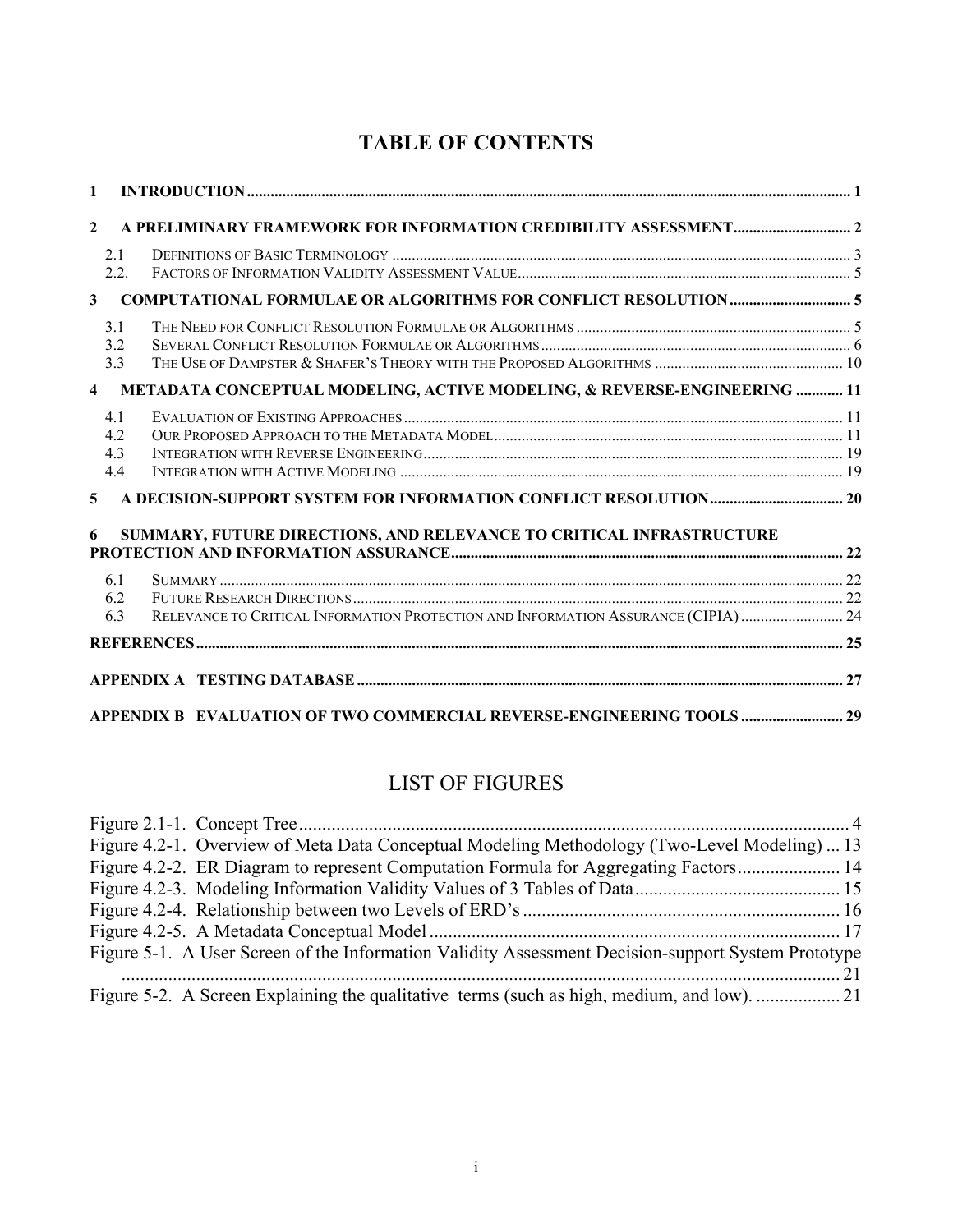# **TABLE OF CONTENTS**

| $\mathbf{1}$            |                              |                                                                                    |  |
|-------------------------|------------------------------|------------------------------------------------------------------------------------|--|
| $\mathbf{2}$            |                              |                                                                                    |  |
|                         | 2.1<br>2.2.                  |                                                                                    |  |
| $\mathbf{3}$            |                              |                                                                                    |  |
|                         | 3 <sub>1</sub><br>3.2<br>3.3 |                                                                                    |  |
| $\overline{\mathbf{4}}$ |                              | METADATA CONCEPTUAL MODELING, ACTIVE MODELING, & REVERSE-ENGINEERING  11           |  |
|                         | 4.1<br>42<br>4.3<br>4.4      |                                                                                    |  |
| 5                       |                              |                                                                                    |  |
| 6                       |                              | SUMMARY, FUTURE DIRECTIONS, AND RELEVANCE TO CRITICAL INFRASTRUCTURE               |  |
|                         | 6.1                          |                                                                                    |  |
|                         | 6.2<br>6.3                   | RELEVANCE TO CRITICAL INFORMATION PROTECTION AND INFORMATION ASSURANCE (CIPIA)  24 |  |
|                         |                              |                                                                                    |  |
|                         |                              |                                                                                    |  |
|                         |                              | APPENDIX B EVALUATION OF TWO COMMERCIAL REVERSE-ENGINEERING TOOLS  29              |  |

# LIST OF FIGURES

| Figure 4.2-1. Overview of Meta Data Conceptual Modeling Methodology (Two-Level Modeling)  13       |  |
|----------------------------------------------------------------------------------------------------|--|
| Figure 4.2-2. ER Diagram to represent Computation Formula for Aggregating Factors14                |  |
|                                                                                                    |  |
|                                                                                                    |  |
|                                                                                                    |  |
| Figure 5-1. A User Screen of the Information Validity Assessment Decision-support System Prototype |  |
|                                                                                                    |  |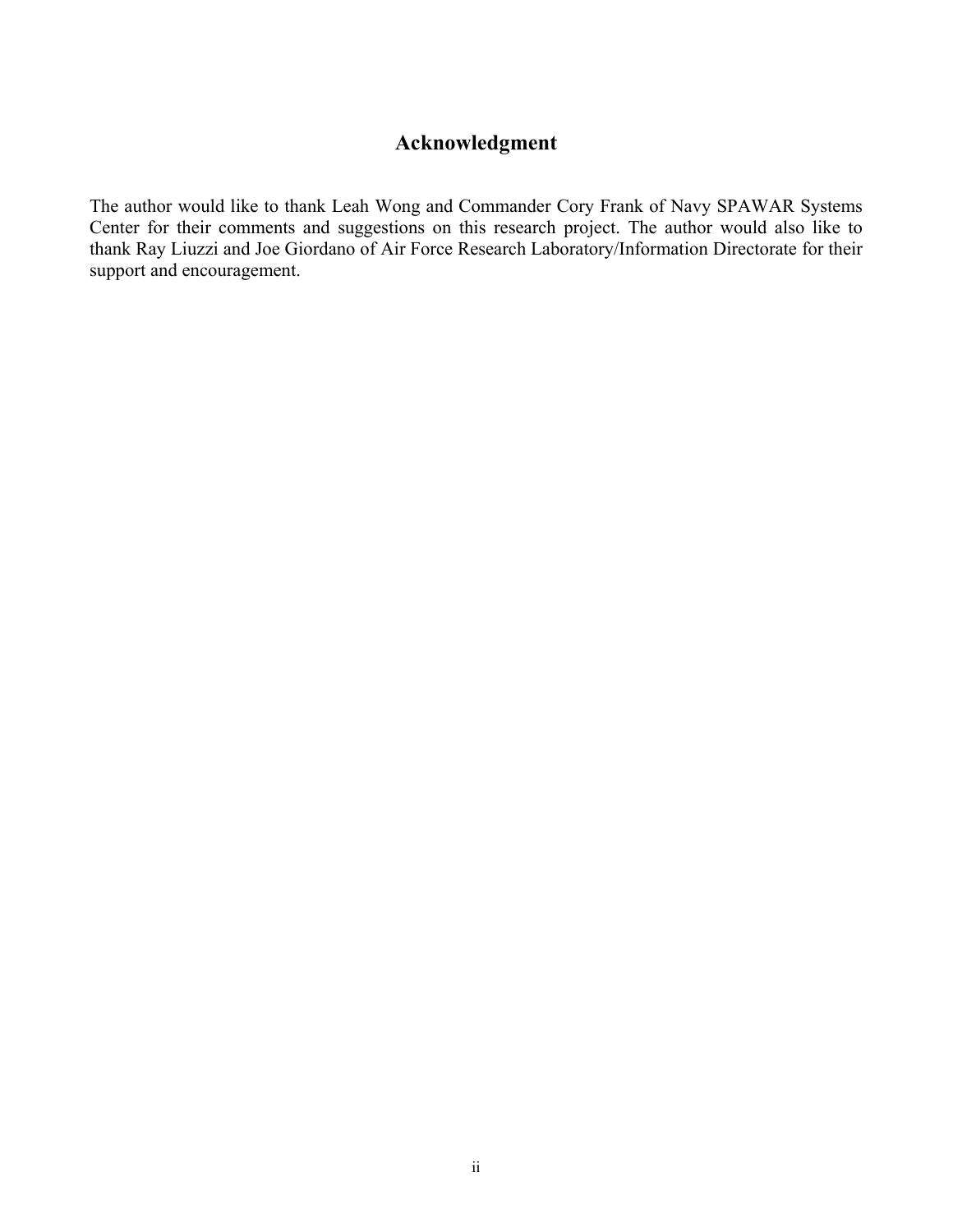# **Acknowledgment**

The author would like to thank Leah Wong and Commander Cory Frank of Navy SPAWAR Systems Center for their comments and suggestions on this research project. The author would also like to thank Ray Liuzzi and Joe Giordano of Air Force Research Laboratory/Information Directorate for their support and encouragement.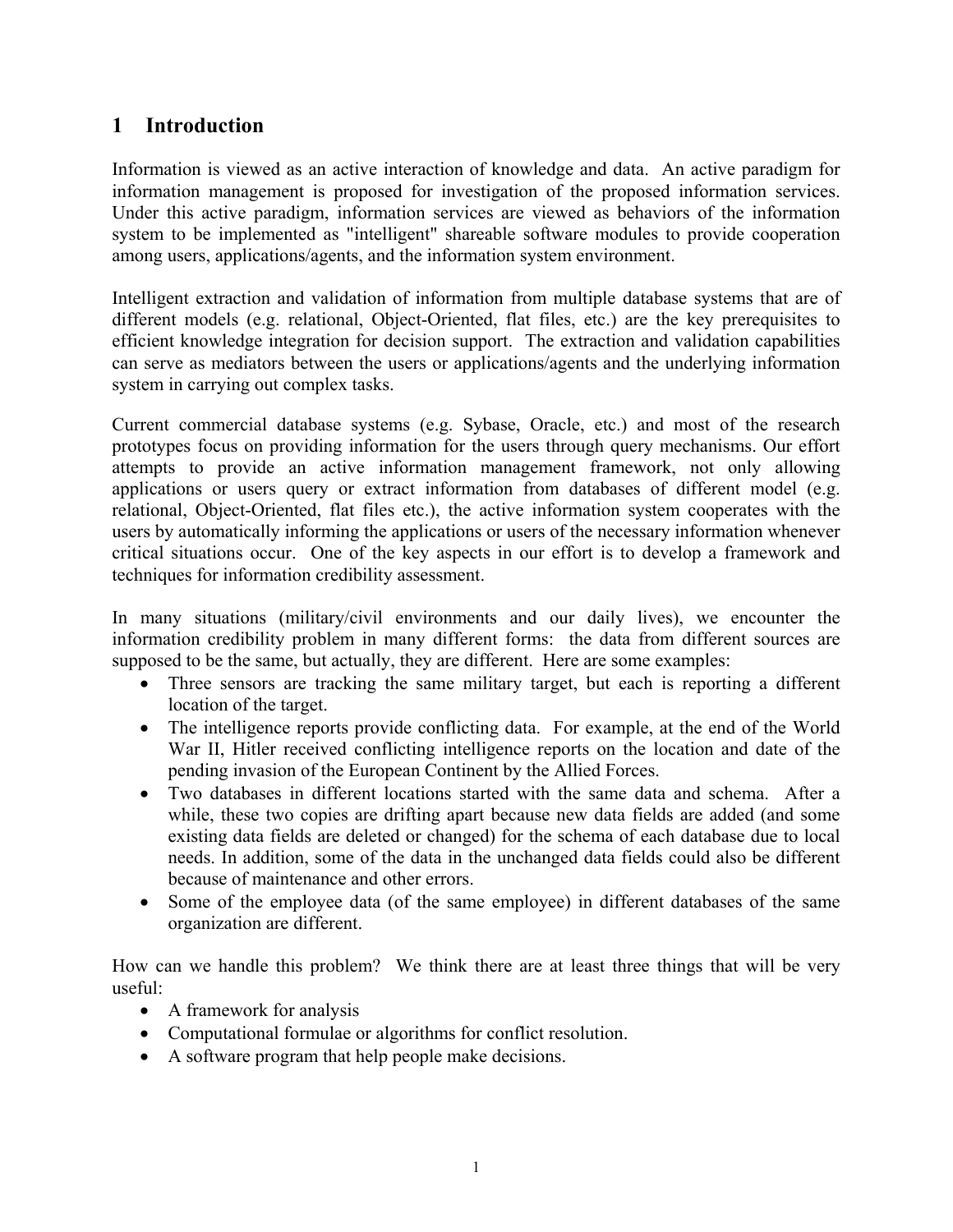# **1 Introduction**

Information is viewed as an active interaction of knowledge and data. An active paradigm for information management is proposed for investigation of the proposed information services. Under this active paradigm, information services are viewed as behaviors of the information system to be implemented as "intelligent" shareable software modules to provide cooperation among users, applications/agents, and the information system environment.

Intelligent extraction and validation of information from multiple database systems that are of different models (e.g. relational, Object-Oriented, flat files, etc.) are the key prerequisites to efficient knowledge integration for decision support. The extraction and validation capabilities can serve as mediators between the users or applications/agents and the underlying information system in carrying out complex tasks.

Current commercial database systems (e.g. Sybase, Oracle, etc.) and most of the research prototypes focus on providing information for the users through query mechanisms. Our effort attempts to provide an active information management framework, not only allowing applications or users query or extract information from databases of different model (e.g. relational, Object-Oriented, flat files etc.), the active information system cooperates with the users by automatically informing the applications or users of the necessary information whenever critical situations occur. One of the key aspects in our effort is to develop a framework and techniques for information credibility assessment.

In many situations (military/civil environments and our daily lives), we encounter the information credibility problem in many different forms: the data from different sources are supposed to be the same, but actually, they are different. Here are some examples:

- Three sensors are tracking the same military target, but each is reporting a different location of the target.
- The intelligence reports provide conflicting data. For example, at the end of the World War II, Hitler received conflicting intelligence reports on the location and date of the pending invasion of the European Continent by the Allied Forces.
- Two databases in different locations started with the same data and schema. After a while, these two copies are drifting apart because new data fields are added (and some existing data fields are deleted or changed) for the schema of each database due to local needs. In addition, some of the data in the unchanged data fields could also be different because of maintenance and other errors.
- Some of the employee data (of the same employee) in different databases of the same organization are different.

How can we handle this problem? We think there are at least three things that will be very useful:

- A framework for analysis
- Computational formulae or algorithms for conflict resolution.
- A software program that help people make decisions.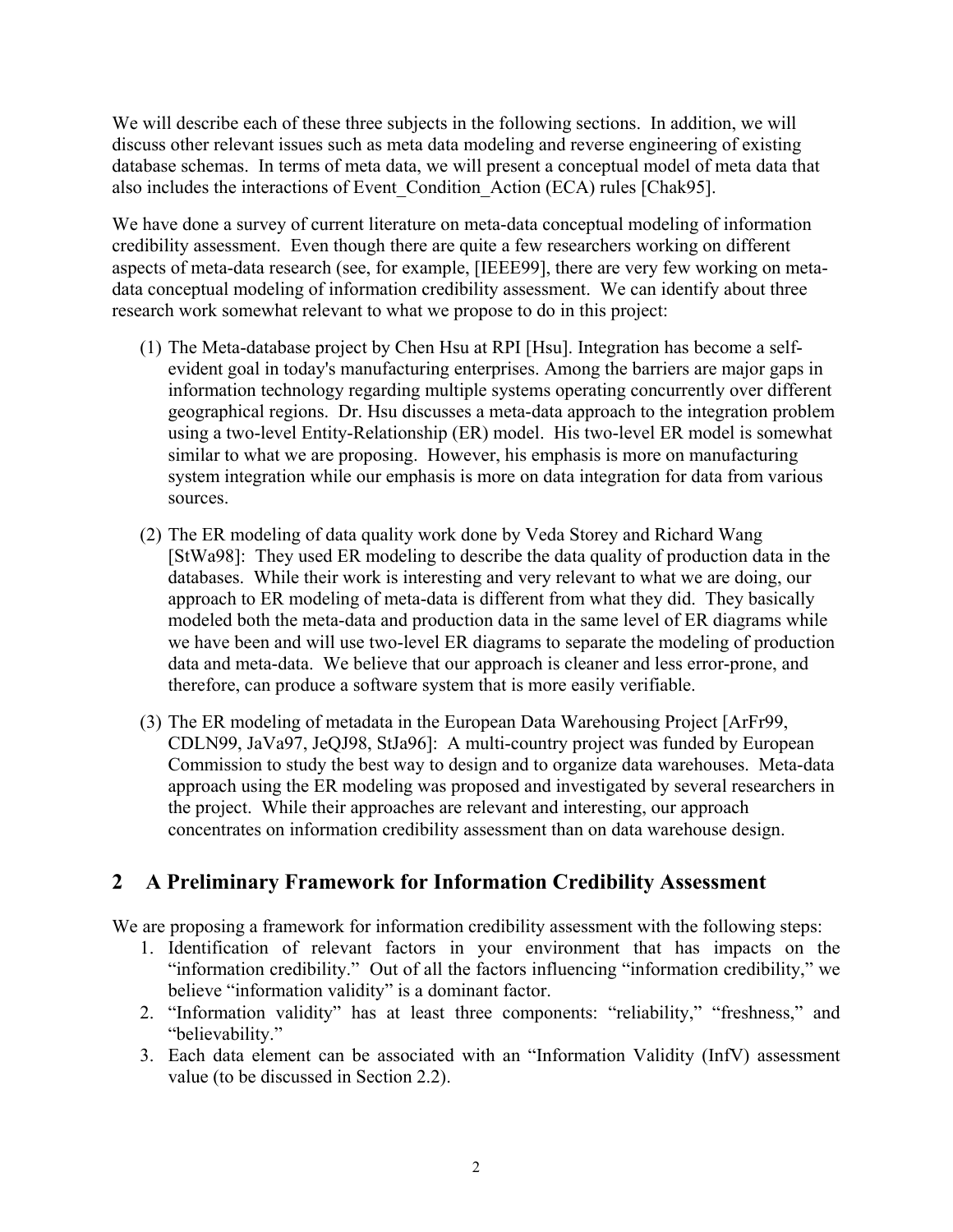We will describe each of these three subjects in the following sections. In addition, we will discuss other relevant issues such as meta data modeling and reverse engineering of existing database schemas. In terms of meta data, we will present a conceptual model of meta data that also includes the interactions of Event\_Condition\_Action (ECA) rules [Chak95].

We have done a survey of current literature on meta-data conceptual modeling of information credibility assessment. Even though there are quite a few researchers working on different aspects of meta-data research (see, for example, [IEEE99], there are very few working on metadata conceptual modeling of information credibility assessment. We can identify about three research work somewhat relevant to what we propose to do in this project:

- (1) The Meta-database project by Chen Hsu at RPI [Hsu]. Integration has become a selfevident goal in today's manufacturing enterprises. Among the barriers are major gaps in information technology regarding multiple systems operating concurrently over different geographical regions. Dr. Hsu discusses a meta-data approach to the integration problem using a two-level Entity-Relationship (ER) model. His two-level ER model is somewhat similar to what we are proposing. However, his emphasis is more on manufacturing system integration while our emphasis is more on data integration for data from various sources.
- (2) The ER modeling of data quality work done by Veda Storey and Richard Wang [StWa98]: They used ER modeling to describe the data quality of production data in the databases. While their work is interesting and very relevant to what we are doing, our approach to ER modeling of meta-data is different from what they did. They basically modeled both the meta-data and production data in the same level of ER diagrams while we have been and will use two-level ER diagrams to separate the modeling of production data and meta-data. We believe that our approach is cleaner and less error-prone, and therefore, can produce a software system that is more easily verifiable.
- (3) The ER modeling of metadata in the European Data Warehousing Project [ArFr99, CDLN99, JaVa97, JeQJ98, StJa96]: A multi-country project was funded by European Commission to study the best way to design and to organize data warehouses. Meta-data approach using the ER modeling was proposed and investigated by several researchers in the project. While their approaches are relevant and interesting, our approach concentrates on information credibility assessment than on data warehouse design.

# **2 A Preliminary Framework for Information Credibility Assessment**

We are proposing a framework for information credibility assessment with the following steps:

- 1. Identification of relevant factors in your environment that has impacts on the "information credibility." Out of all the factors influencing "information credibility," we believe "information validity" is a dominant factor.
- 2. "Information validity" has at least three components: "reliability," "freshness," and "believability."
- 3. Each data element can be associated with an "Information Validity (InfV) assessment value (to be discussed in Section 2.2).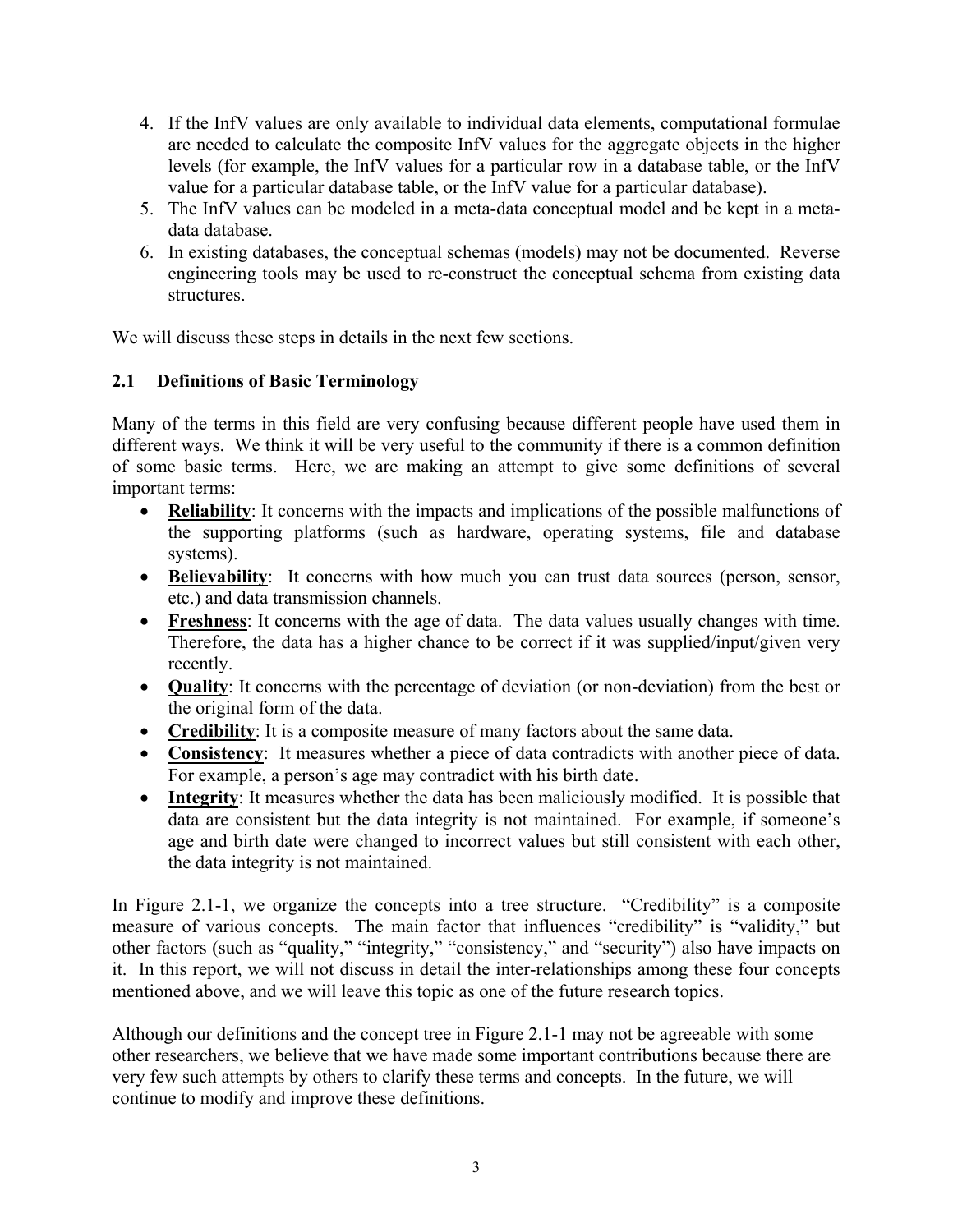- 4. If the InfV values are only available to individual data elements, computational formulae are needed to calculate the composite InfV values for the aggregate objects in the higher levels (for example, the InfV values for a particular row in a database table, or the InfV value for a particular database table, or the InfV value for a particular database).
- 5. The InfV values can be modeled in a meta-data conceptual model and be kept in a metadata database.
- 6. In existing databases, the conceptual schemas (models) may not be documented. Reverse engineering tools may be used to re-construct the conceptual schema from existing data structures.

We will discuss these steps in details in the next few sections.

# **2.1 Definitions of Basic Terminology**

Many of the terms in this field are very confusing because different people have used them in different ways. We think it will be very useful to the community if there is a common definition of some basic terms. Here, we are making an attempt to give some definitions of several important terms:

- **Reliability**: It concerns with the impacts and implications of the possible malfunctions of the supporting platforms (such as hardware, operating systems, file and database systems).
- **Believability**: It concerns with how much you can trust data sources (person, sensor, etc.) and data transmission channels.
- **Freshness**: It concerns with the age of data. The data values usually changes with time. Therefore, the data has a higher chance to be correct if it was supplied/input/given very recently.
- **Quality**: It concerns with the percentage of deviation (or non-deviation) from the best or the original form of the data.
- **Credibility**: It is a composite measure of many factors about the same data.
- **Consistency**: It measures whether a piece of data contradicts with another piece of data. For example, a person's age may contradict with his birth date.
- **Integrity**: It measures whether the data has been maliciously modified. It is possible that data are consistent but the data integrity is not maintained. For example, if someone's age and birth date were changed to incorrect values but still consistent with each other, the data integrity is not maintained.

In Figure 2.1-1, we organize the concepts into a tree structure. "Credibility" is a composite measure of various concepts. The main factor that influences "credibility" is "validity," but other factors (such as "quality," "integrity," "consistency," and "security") also have impacts on it. In this report, we will not discuss in detail the inter-relationships among these four concepts mentioned above, and we will leave this topic as one of the future research topics.

Although our definitions and the concept tree in Figure 2.1-1 may not be agreeable with some other researchers, we believe that we have made some important contributions because there are very few such attempts by others to clarify these terms and concepts. In the future, we will continue to modify and improve these definitions.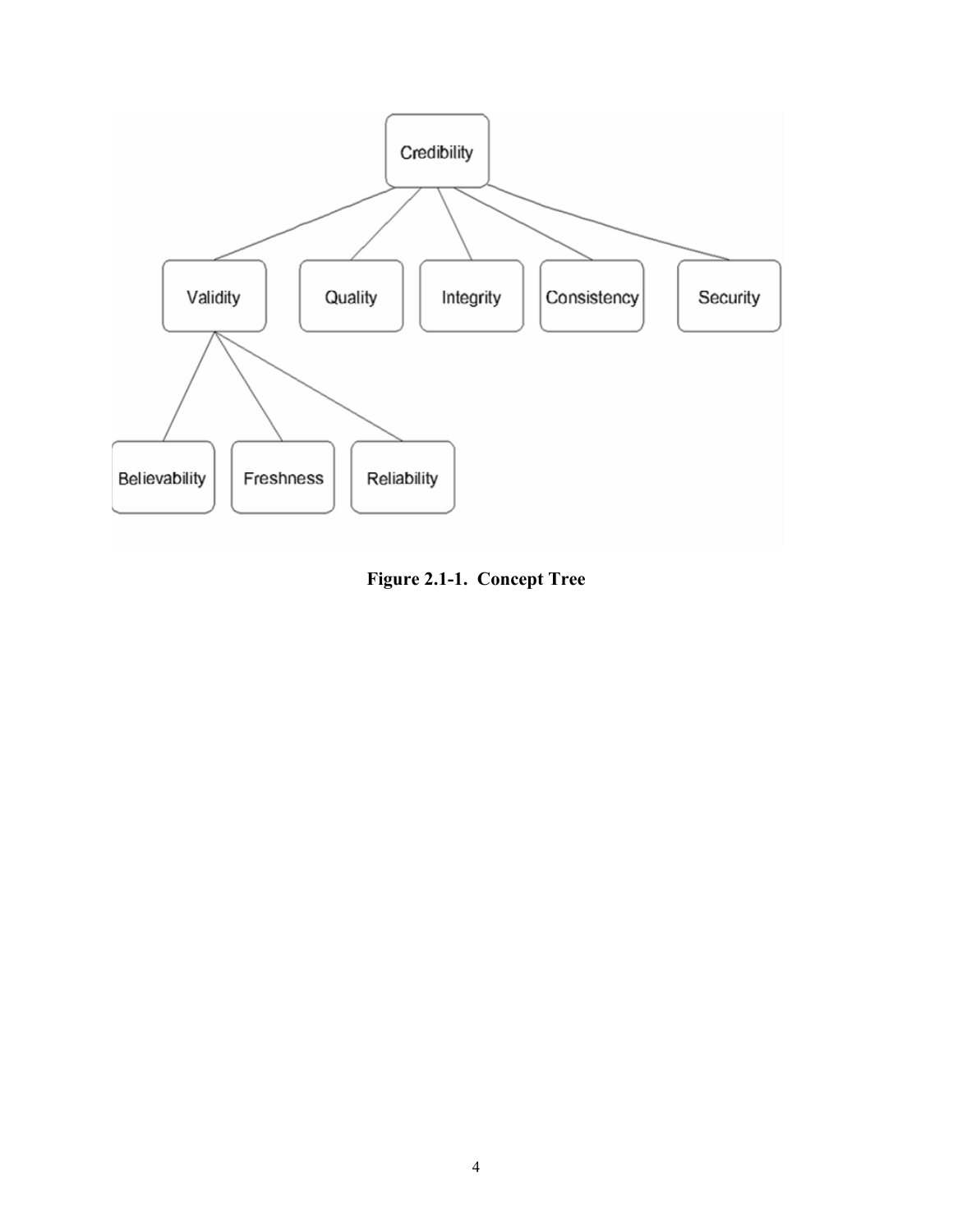

**Figure 2.1-1. Concept Tree**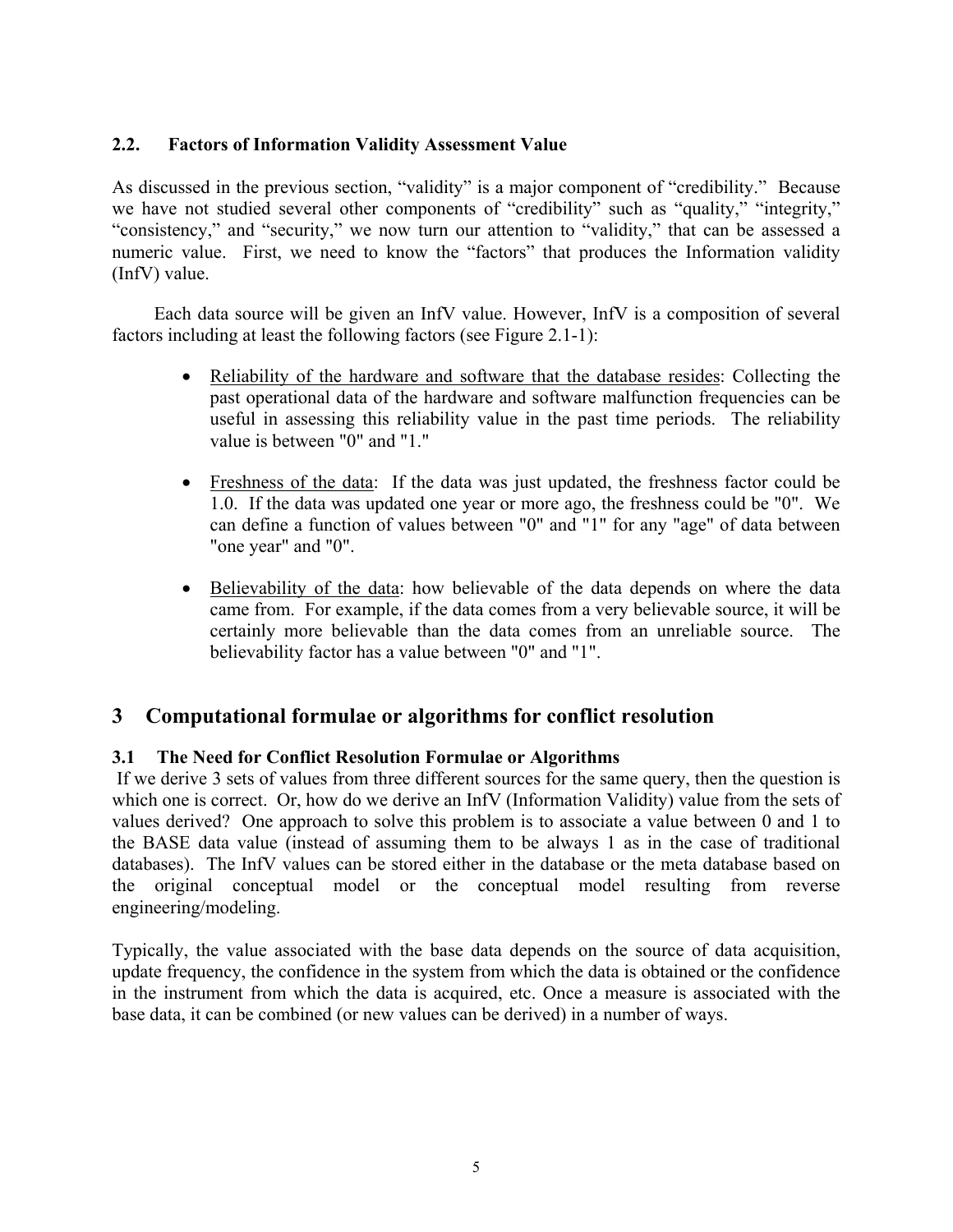# **2.2. Factors of Information Validity Assessment Value**

As discussed in the previous section, "validity" is a major component of "credibility." Because we have not studied several other components of "credibility" such as "quality," "integrity," "consistency," and "security," we now turn our attention to "validity," that can be assessed a numeric value. First, we need to know the "factors" that produces the Information validity (InfV) value.

Each data source will be given an InfV value. However, InfV is a composition of several factors including at least the following factors (see Figure 2.1-1):

- Reliability of the hardware and software that the database resides: Collecting the past operational data of the hardware and software malfunction frequencies can be useful in assessing this reliability value in the past time periods. The reliability value is between "0" and "1."
- Freshness of the data: If the data was just updated, the freshness factor could be 1.0. If the data was updated one year or more ago, the freshness could be "0". We can define a function of values between "0" and "1" for any "age" of data between "one year" and "0".
- Believability of the data: how believable of the data depends on where the data came from. For example, if the data comes from a very believable source, it will be certainly more believable than the data comes from an unreliable source. The believability factor has a value between "0" and "1".

# **3 Computational formulae or algorithms for conflict resolution**

# **3.1 The Need for Conflict Resolution Formulae or Algorithms**

 If we derive 3 sets of values from three different sources for the same query, then the question is which one is correct. Or, how do we derive an InfV (Information Validity) value from the sets of values derived? One approach to solve this problem is to associate a value between 0 and 1 to the BASE data value (instead of assuming them to be always 1 as in the case of traditional databases). The InfV values can be stored either in the database or the meta database based on the original conceptual model or the conceptual model resulting from reverse engineering/modeling.

Typically, the value associated with the base data depends on the source of data acquisition, update frequency, the confidence in the system from which the data is obtained or the confidence in the instrument from which the data is acquired, etc. Once a measure is associated with the base data, it can be combined (or new values can be derived) in a number of ways.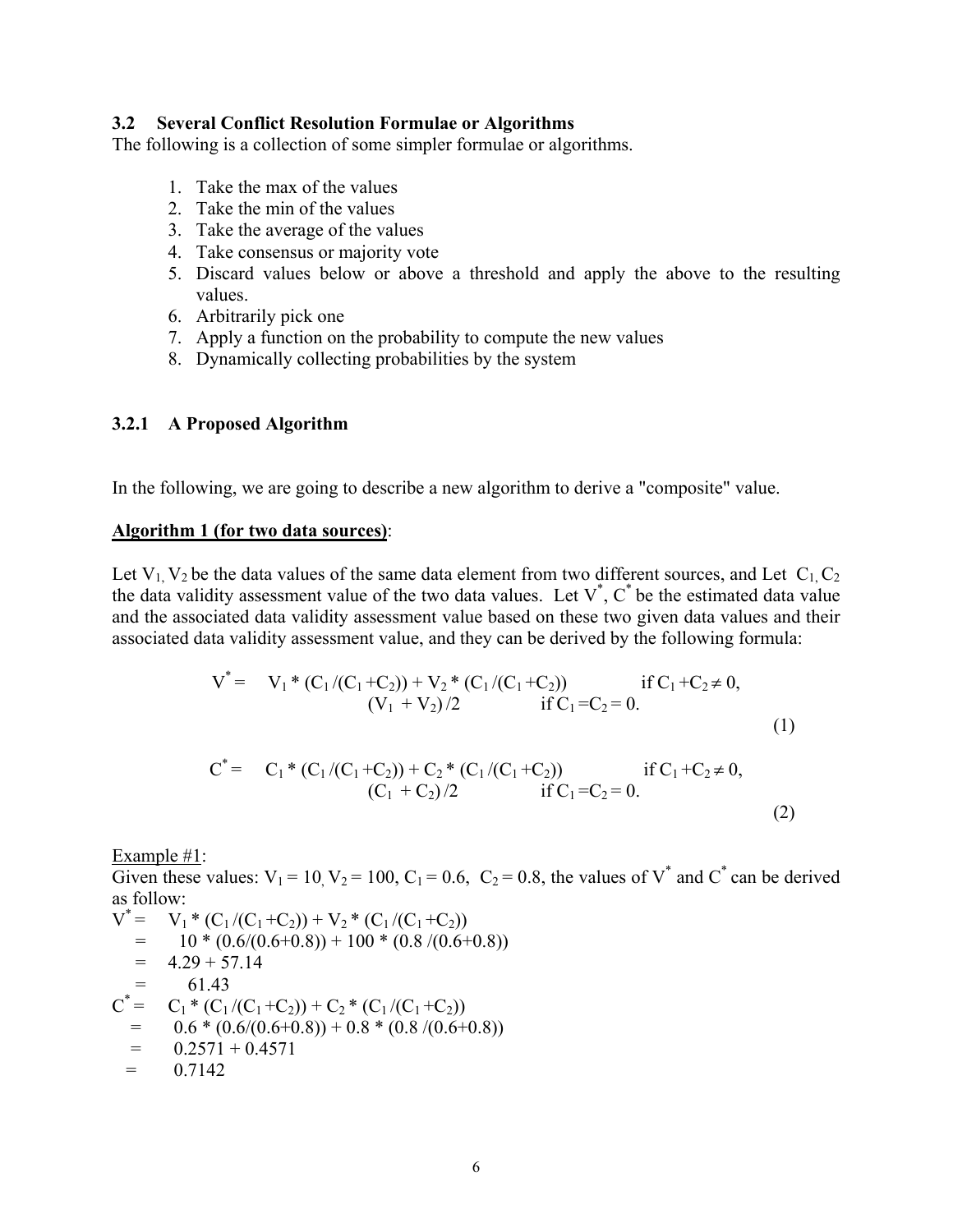### **3.2 Several Conflict Resolution Formulae or Algorithms**

The following is a collection of some simpler formulae or algorithms.

- 1. Take the max of the values
- 2. Take the min of the values
- 3. Take the average of the values
- 4. Take consensus or majority vote
- 5. Discard values below or above a threshold and apply the above to the resulting values.
- 6. Arbitrarily pick one
- 7. Apply a function on the probability to compute the new values
- 8. Dynamically collecting probabilities by the system

#### **3.2.1 A Proposed Algorithm**

In the following, we are going to describe a new algorithm to derive a "composite" value.

#### **Algorithm 1 (for two data sources)**:

Let  $V_1$ ,  $V_2$  be the data values of the same data element from two different sources, and Let  $C_1$ ,  $C_2$ the data validity assessment value of the two data values. Let  $V^*$ ,  $C^*$  be the estimated data value and the associated data validity assessment value based on these two given data values and their associated data validity assessment value, and they can be derived by the following formula:

V\* = V1 \* (C1 /(C1 +C2)) + V2 \* (C1 /(C1 +C2)) if C1 +C2 ≠ 0, (V1 + V2) /2 if C1 =C2 = 0. (1) C\* = C1 \* (C1 /(C1 +C2)) + C2 \* (C1 /(C1 +C2)) if C1 +C2 ≠ 0, (C1 + C2) /2 if C1 =C2 = 0. (2)

Example #1:

Given these values:  $V_1 = 10$ ,  $V_2 = 100$ ,  $C_1 = 0.6$ ,  $C_2 = 0.8$ , the values of V<sup>\*</sup> and C<sup>\*</sup> can be derived as follow:

$$
V^* = V_1 * (C_1 / (C_1 + C_2)) + V_2 * (C_1 / (C_1 + C_2))
$$
  
= 10 \* (0.6/(0.6 + 0.8)) + 100 \* (0.8 / (0.6 + 0.8))  
= 4.29 + 57.14  
= 61.43  

$$
C^* = C_1 * (C_1 / (C_1 + C_2)) + C_2 * (C_1 / (C_1 + C_2))
$$
  
= 0.6 \* (0.6/(0.6 + 0.8)) + 0.8 \* (0.8 / (0.6 + 0.8))  
= 0.2571 + 0.4571  
= 0.7142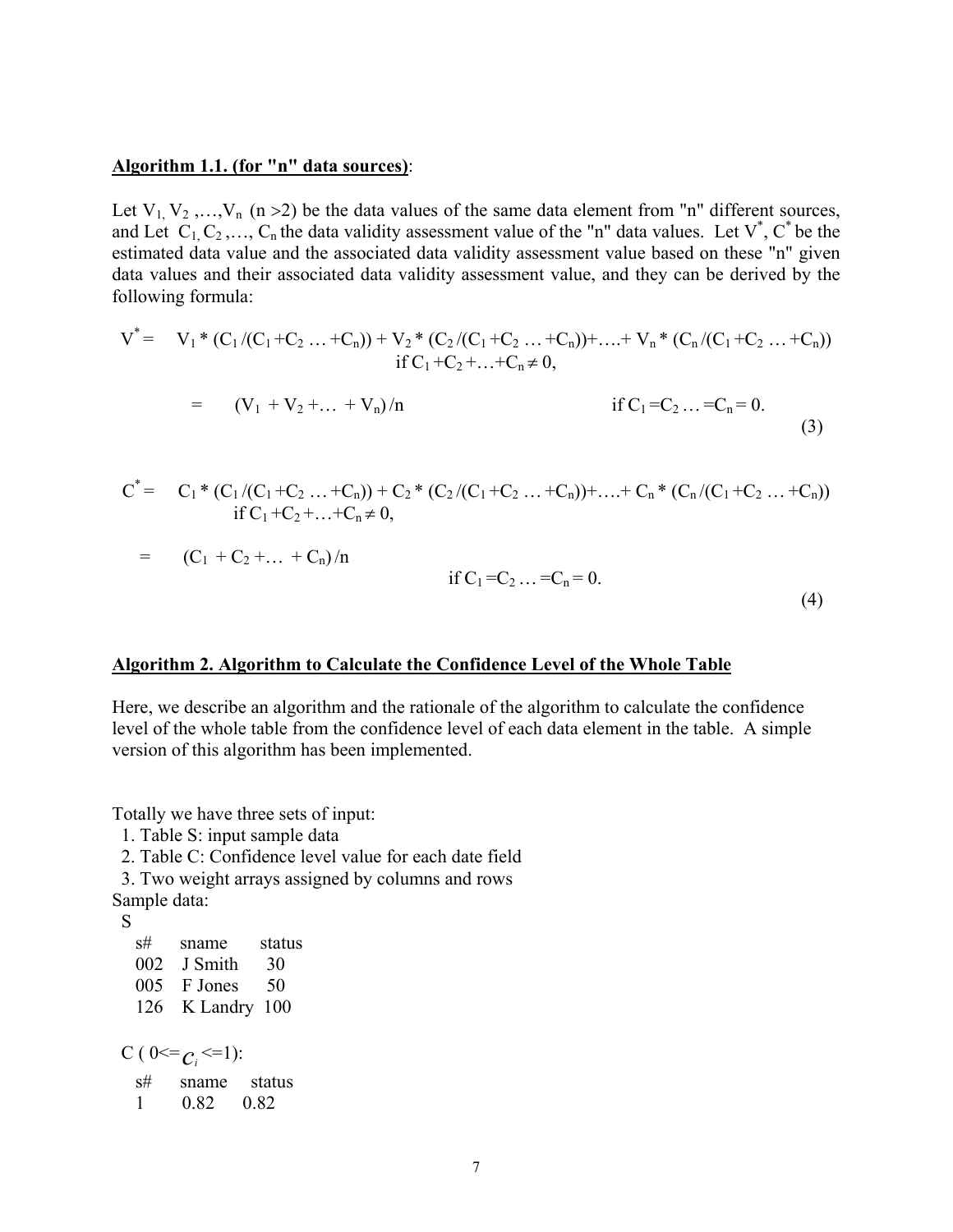#### **Algorithm 1.1. (for "n" data sources)**:

Let  $V_1, V_2, \ldots, V_n$  (n > 2) be the data values of the same data element from "n" different sources, and Let  $C_1, C_2, ..., C_n$  the data validity assessment value of the "n" data values. Let  $V^*$ ,  $C^*$  be the estimated data value and the associated data validity assessment value based on these "n" given data values and their associated data validity assessment value, and they can be derived by the following formula:

$$
V^* = V_1 * (C_1 / (C_1 + C_2 ... + C_n)) + V_2 * (C_2 / (C_1 + C_2 ... + C_n)) + ... + V_n * (C_n / (C_1 + C_2 ... + C_n))
$$
  
\nif C<sub>1</sub> + C<sub>2</sub> + ... + C<sub>n</sub>  $\neq$  0,  
\nif C<sub>1</sub> = C<sub>2</sub> ... = C<sub>n</sub> = 0. (3)

$$
C^* = C_1 * (C_1 / (C_1 + C_2 ... + C_n)) + C_2 * (C_2 / (C_1 + C_2 ... + C_n)) + ... + C_n * (C_n / (C_1 + C_2 ... + C_n))
$$
  
if C<sub>1</sub> + C<sub>2</sub> + ... + C<sub>n</sub> \ne 0,

$$
= (C_1 + C_2 + ... + C_n)/n
$$

if 
$$
C_1 = C_2 ... = C_n = 0
$$
. (4)

#### **Algorithm 2. Algorithm to Calculate the Confidence Level of the Whole Table**

Here, we describe an algorithm and the rationale of the algorithm to calculate the confidence level of the whole table from the confidence level of each data element in the table. A simple version of this algorithm has been implemented.

Totally we have three sets of input:

1. Table S: input sample data

2. Table C: Confidence level value for each date field

3. Two weight arrays assigned by columns and rows

Sample data:

 $S$ <sub>S#</sub> sname status 002 J Smith 30 005 F Jones 50 126 K Landry 100 C (  $0 \leq c_i \leq 1$  ):

 s# sname status 1 0.82 0.82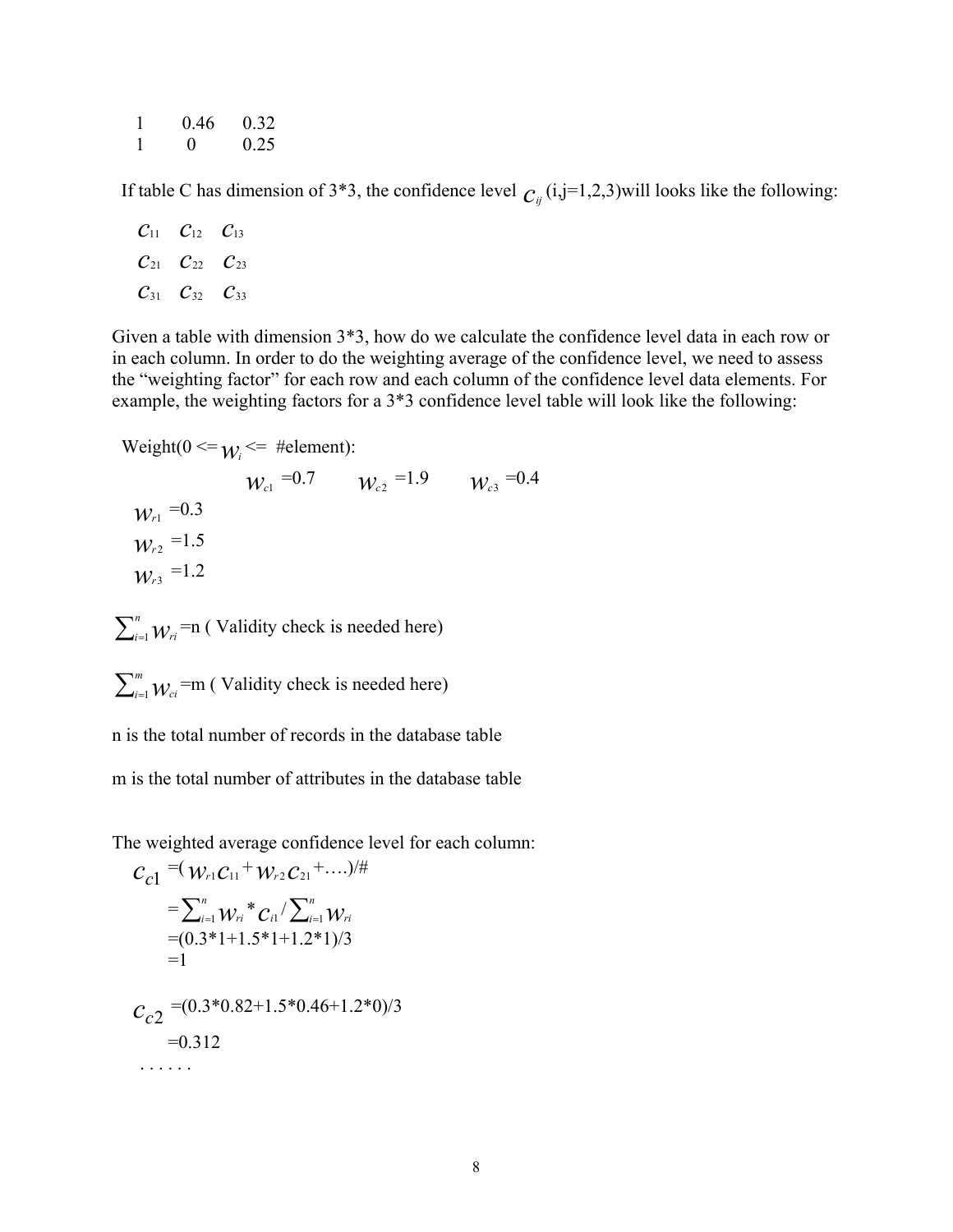| 0.46     | 0.32 |
|----------|------|
| $\Omega$ | 0.25 |

If table C has dimension of 3<sup>\*</sup>3, the confidence level  $C_{ij}$  (i,j=1,2,3)will looks like the following:

$$
\begin{array}{ccc}\nC_{11} & C_{12} & C_{13} \\
C_{21} & C_{22} & C_{23} \\
C_{31} & C_{32} & C_{33}\n\end{array}
$$

Given a table with dimension 3\*3, how do we calculate the confidence level data in each row or in each column. In order to do the weighting average of the confidence level, we need to assess the "weighting factor" for each row and each column of the confidence level data elements. For example, the weighting factors for a 3\*3 confidence level table will look like the following:

$$
Weight(0 \leq w_i \leq \#element):
$$

 $W_{c1} = 0.7$   $W_{c2} = 1.9$   $W_{c3} = 0.4$  $W_{r1} = 0.3$  $W_{r2}$ <sup>=1.5</sup>  $W_{r3}$ <sup>=1.2</sup>

 $\sum_{i=1}^{n}$  *W<sub>ri</sub>* =n ( Validity check is needed here)

 $\sum_{i=1}^{m}$   $W_{ci}$  =m ( Validity check is needed here)

n is the total number of records in the database table

m is the total number of attributes in the database table

The weighted average confidence level for each column:

$$
C_{c1} = (W_{r1}C_{11} + W_{r2}C_{21} + ....)/\#
$$
  
\n
$$
= \sum_{i=1}^{n} W_{ri} C_{i1} / \sum_{i=1}^{n} W_{ri}
$$
  
\n
$$
= (0.3*1+1.5*1+1.2*1)/3
$$
  
\n
$$
= 1
$$
  
\n
$$
C_{c2} = (0.3*0.82+1.5*0.46+1.2*0)/3
$$
  
\n
$$
= 0.312
$$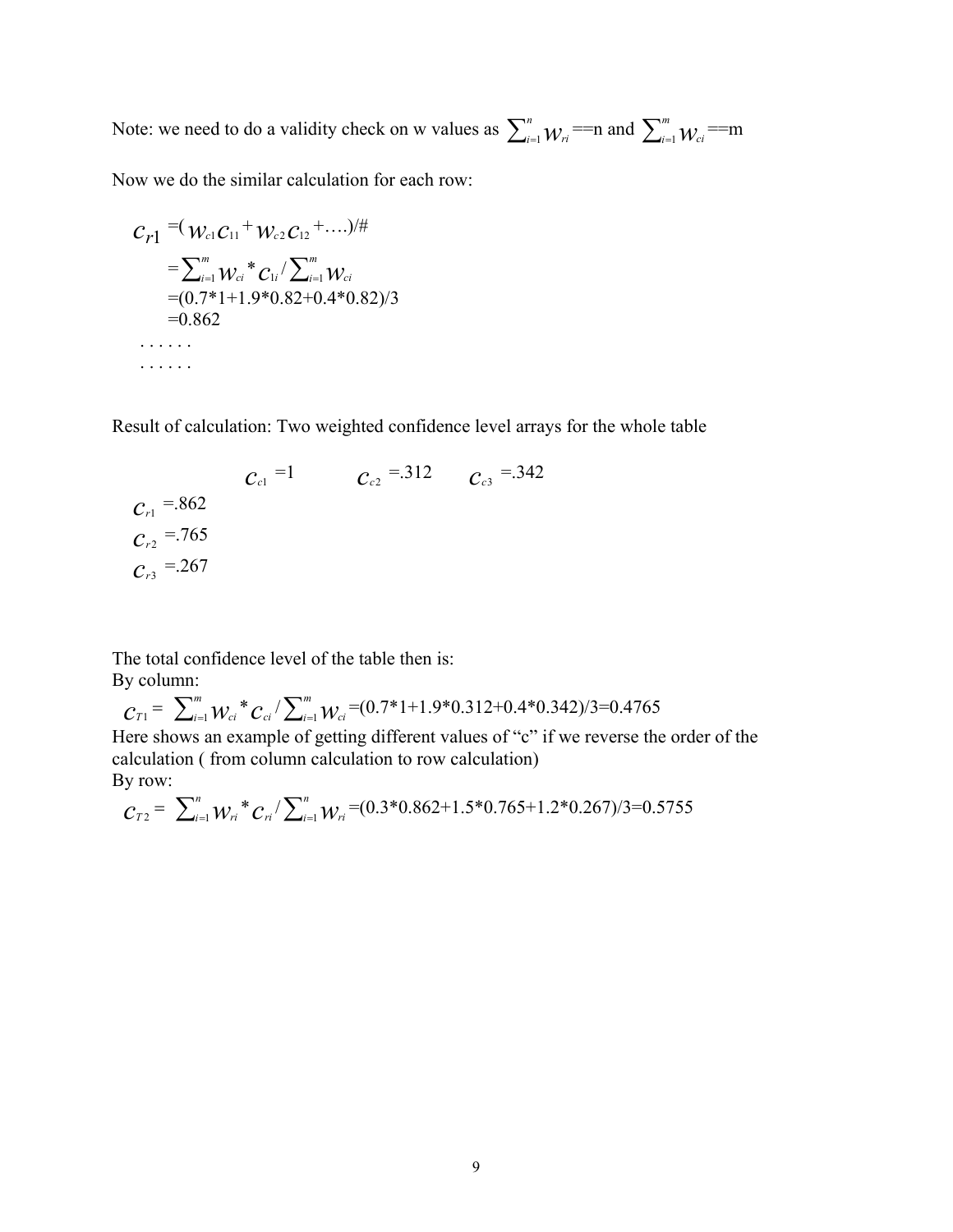Note: we need to do a validity check on w values as  $\sum_{i=1}^{n} w_{ri} = n$  and  $\sum_{i=1}^{m} w_{ci} = m$ 

Now we do the similar calculation for each row:

$$
C_{r1} = (W_{c1}C_{11} + W_{c2}C_{12} + ....)/\#
$$
  
\n
$$
= \sum_{i=1}^{m} W_{ci} * C_{1i} / \sum_{i=1}^{m} W_{ci}
$$
  
\n
$$
= (0.7 * 1 + 1.9 * 0.82 + 0.4 * 0.82)/3
$$
  
\n
$$
= 0.862
$$

Result of calculation: Two weighted confidence level arrays for the whole table

$$
C_{c1} = 1
$$
\n
$$
C_{c2} = .312
$$
\n
$$
C_{c3} = .342
$$
\n
$$
C_{r2} = .765
$$
\n
$$
C_{r3} = .267
$$
\n
$$
C_{c3} = .267
$$

The total confidence level of the table then is: By column:

$$
C_{T1} = \sum_{i=1}^{m} W_{ci} * C_{ci} / \sum_{i=1}^{m} W_{ci} = (0.7 * 1 + 1.9 * 0.312 + 0.4 * 0.342) / 3 = 0.4765
$$
  
Here shows an example of getting different values of "c" if we reverse the order of the calculation (from column calculation to row calculation)  
By row:

$$
C_{T2} = \sum_{i=1}^{n} W_{ri}^{*} C_{ri} / \sum_{i=1}^{n} W_{ri} = (0.3^{*}0.862 + 1.5^{*}0.765 + 1.2^{*}0.267)/3 = 0.5755
$$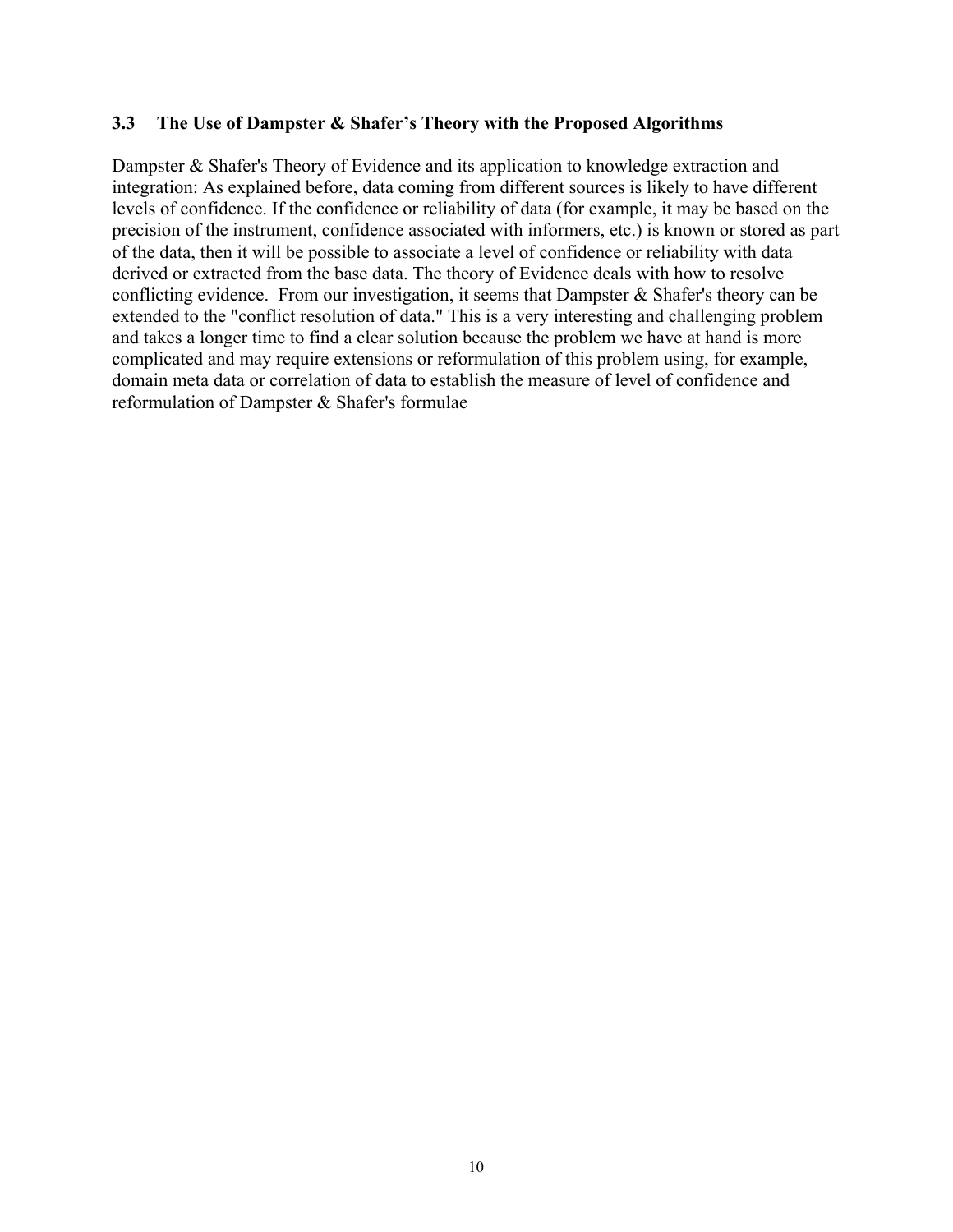### **3.3 The Use of Dampster & Shafer's Theory with the Proposed Algorithms**

Dampster & Shafer's Theory of Evidence and its application to knowledge extraction and integration: As explained before, data coming from different sources is likely to have different levels of confidence. If the confidence or reliability of data (for example, it may be based on the precision of the instrument, confidence associated with informers, etc.) is known or stored as part of the data, then it will be possible to associate a level of confidence or reliability with data derived or extracted from the base data. The theory of Evidence deals with how to resolve conflicting evidence. From our investigation, it seems that Dampster & Shafer's theory can be extended to the "conflict resolution of data." This is a very interesting and challenging problem and takes a longer time to find a clear solution because the problem we have at hand is more complicated and may require extensions or reformulation of this problem using, for example, domain meta data or correlation of data to establish the measure of level of confidence and reformulation of Dampster & Shafer's formulae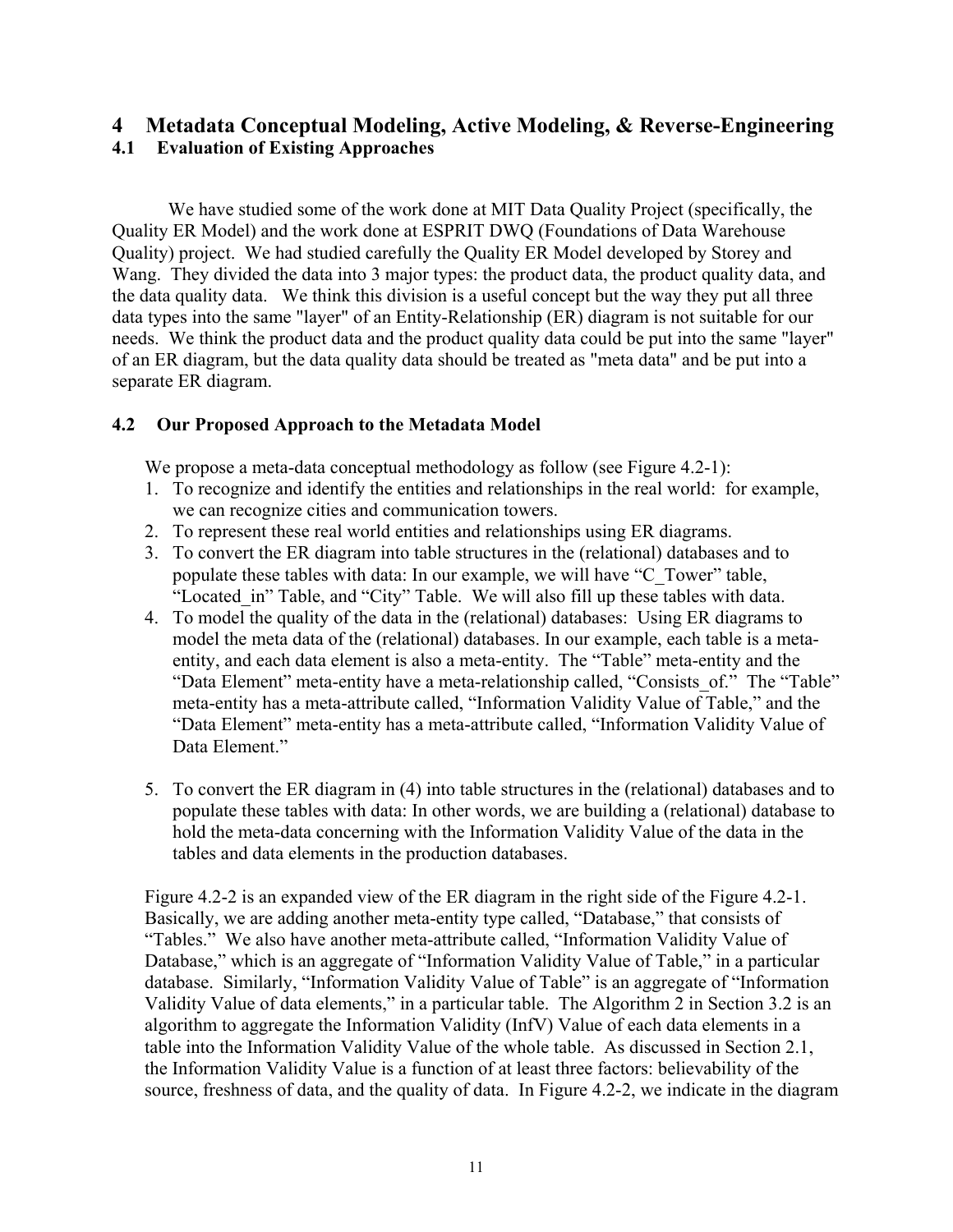# **4 Metadata Conceptual Modeling, Active Modeling, & Reverse-Engineering 4.1 Evaluation of Existing Approaches**

We have studied some of the work done at MIT Data Quality Project (specifically, the Quality ER Model) and the work done at ESPRIT DWQ (Foundations of Data Warehouse Quality) project. We had studied carefully the Quality ER Model developed by Storey and Wang. They divided the data into 3 major types: the product data, the product quality data, and the data quality data. We think this division is a useful concept but the way they put all three data types into the same "layer" of an Entity-Relationship (ER) diagram is not suitable for our needs. We think the product data and the product quality data could be put into the same "layer" of an ER diagram, but the data quality data should be treated as "meta data" and be put into a separate ER diagram.

### **4.2 Our Proposed Approach to the Metadata Model**

We propose a meta-data conceptual methodology as follow (see Figure 4.2-1):

- 1. To recognize and identify the entities and relationships in the real world: for example, we can recognize cities and communication towers.
- 2. To represent these real world entities and relationships using ER diagrams.
- 3. To convert the ER diagram into table structures in the (relational) databases and to populate these tables with data: In our example, we will have "C\_Tower" table, "Located in" Table, and "City" Table. We will also fill up these tables with data.
- 4. To model the quality of the data in the (relational) databases: Using ER diagrams to model the meta data of the (relational) databases. In our example, each table is a metaentity, and each data element is also a meta-entity. The "Table" meta-entity and the "Data Element" meta-entity have a meta-relationship called, "Consists\_of." The "Table" meta-entity has a meta-attribute called, "Information Validity Value of Table," and the "Data Element" meta-entity has a meta-attribute called, "Information Validity Value of Data Element."
- 5. To convert the ER diagram in (4) into table structures in the (relational) databases and to populate these tables with data: In other words, we are building a (relational) database to hold the meta-data concerning with the Information Validity Value of the data in the tables and data elements in the production databases.

Figure 4.2-2 is an expanded view of the ER diagram in the right side of the Figure 4.2-1. Basically, we are adding another meta-entity type called, "Database," that consists of "Tables." We also have another meta-attribute called, "Information Validity Value of Database," which is an aggregate of "Information Validity Value of Table," in a particular database. Similarly, "Information Validity Value of Table" is an aggregate of "Information Validity Value of data elements," in a particular table. The Algorithm 2 in Section 3.2 is an algorithm to aggregate the Information Validity (InfV) Value of each data elements in a table into the Information Validity Value of the whole table. As discussed in Section 2.1, the Information Validity Value is a function of at least three factors: believability of the source, freshness of data, and the quality of data. In Figure 4.2-2, we indicate in the diagram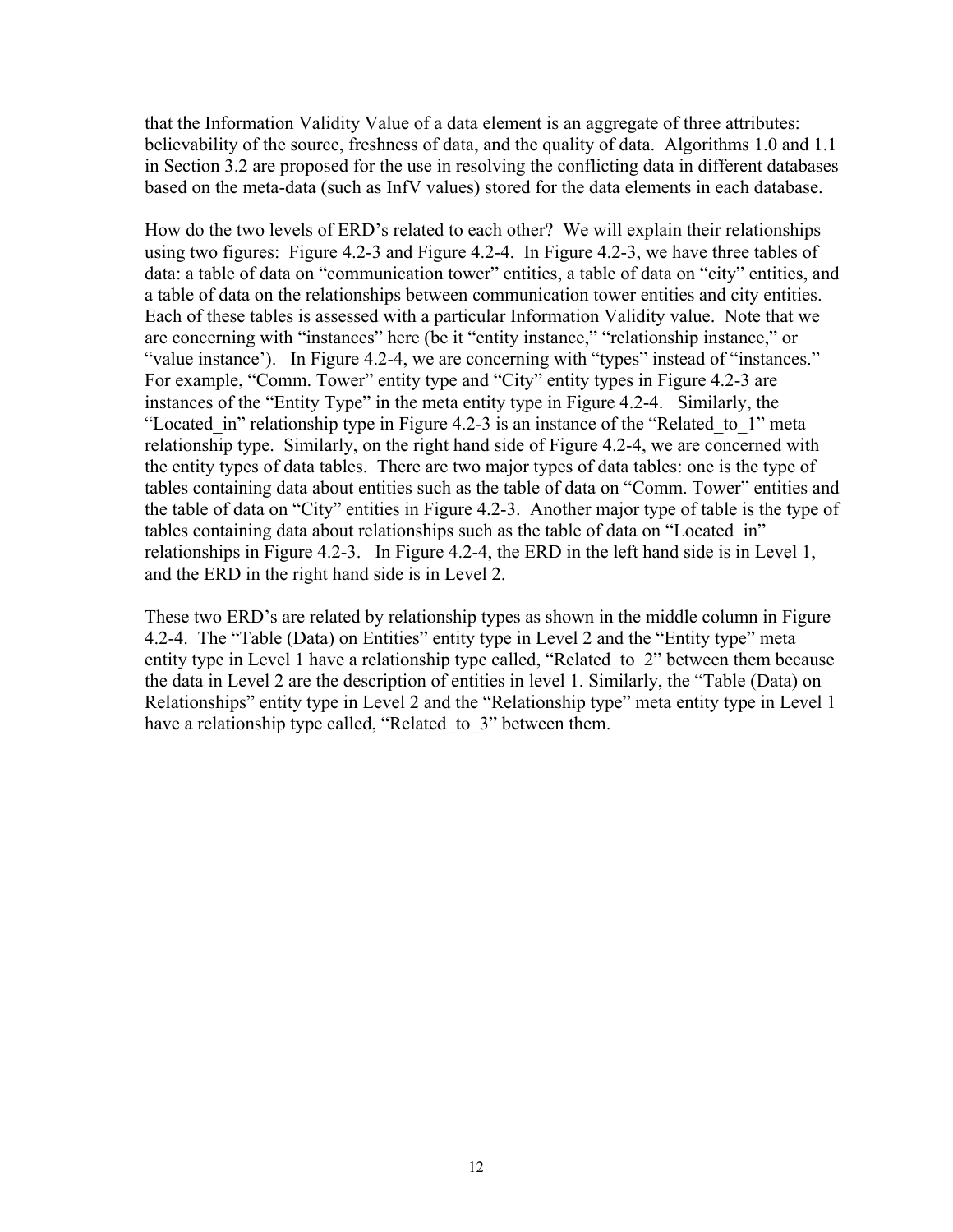that the Information Validity Value of a data element is an aggregate of three attributes: believability of the source, freshness of data, and the quality of data. Algorithms 1.0 and 1.1 in Section 3.2 are proposed for the use in resolving the conflicting data in different databases based on the meta-data (such as InfV values) stored for the data elements in each database.

How do the two levels of ERD's related to each other? We will explain their relationships using two figures: Figure 4.2-3 and Figure 4.2-4. In Figure 4.2-3, we have three tables of data: a table of data on "communication tower" entities, a table of data on "city" entities, and a table of data on the relationships between communication tower entities and city entities. Each of these tables is assessed with a particular Information Validity value. Note that we are concerning with "instances" here (be it "entity instance," "relationship instance," or "value instance'). In Figure 4.2-4, we are concerning with "types" instead of "instances." For example, "Comm. Tower" entity type and "City" entity types in Figure 4.2-3 are instances of the "Entity Type" in the meta entity type in Figure 4.2-4. Similarly, the "Located in" relationship type in Figure 4.2-3 is an instance of the "Related to 1" meta relationship type. Similarly, on the right hand side of Figure 4.2-4, we are concerned with the entity types of data tables. There are two major types of data tables: one is the type of tables containing data about entities such as the table of data on "Comm. Tower" entities and the table of data on "City" entities in Figure 4.2-3. Another major type of table is the type of tables containing data about relationships such as the table of data on "Located\_in" relationships in Figure 4.2-3. In Figure 4.2-4, the ERD in the left hand side is in Level 1, and the ERD in the right hand side is in Level 2.

These two ERD's are related by relationship types as shown in the middle column in Figure 4.2-4. The "Table (Data) on Entities" entity type in Level 2 and the "Entity type" meta entity type in Level 1 have a relationship type called, "Related\_to\_2" between them because the data in Level 2 are the description of entities in level 1. Similarly, the "Table (Data) on Relationships" entity type in Level 2 and the "Relationship type" meta entity type in Level 1 have a relationship type called, "Related to 3" between them.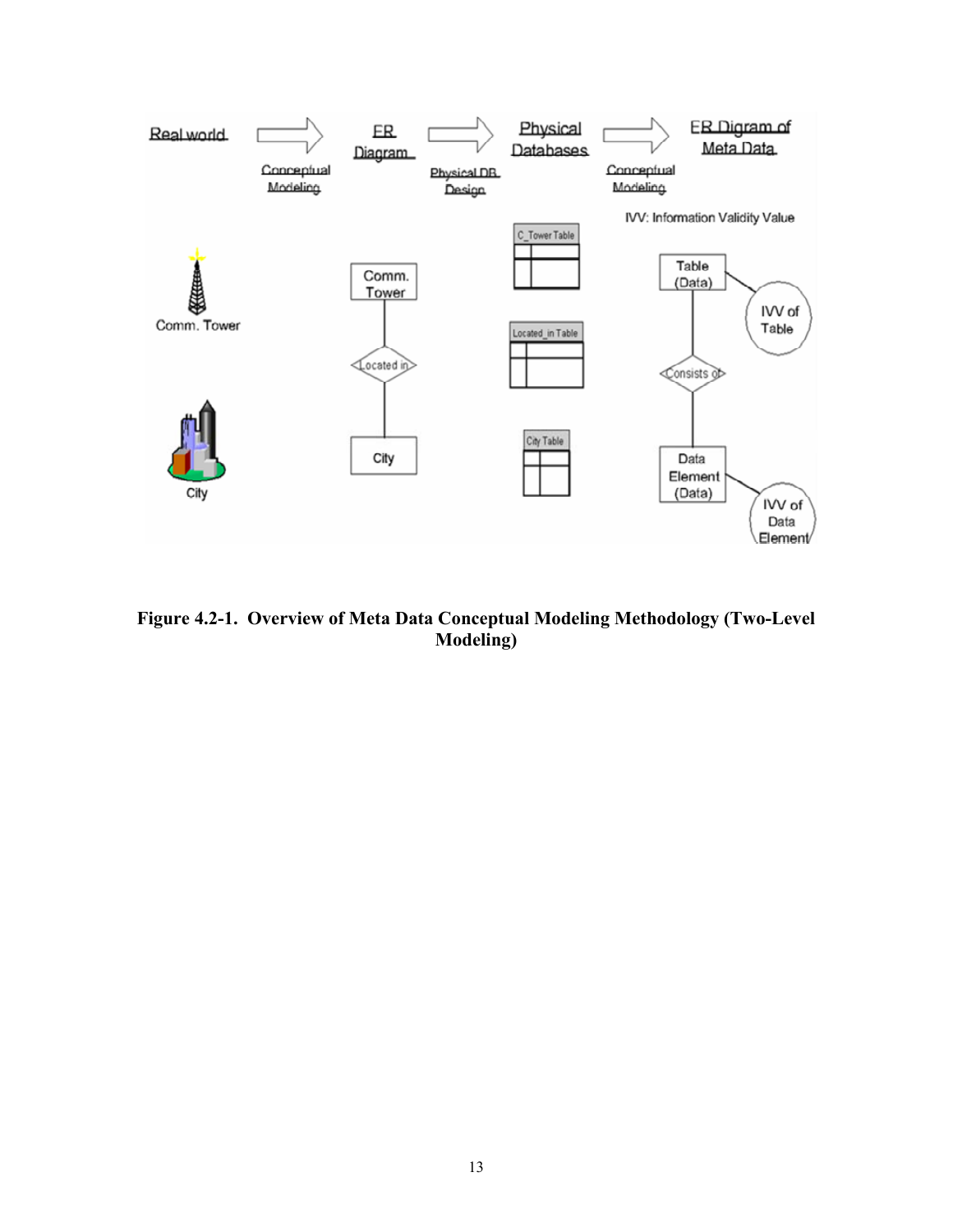

**Figure 4.2-1. Overview of Meta Data Conceptual Modeling Methodology (Two-Level Modeling)**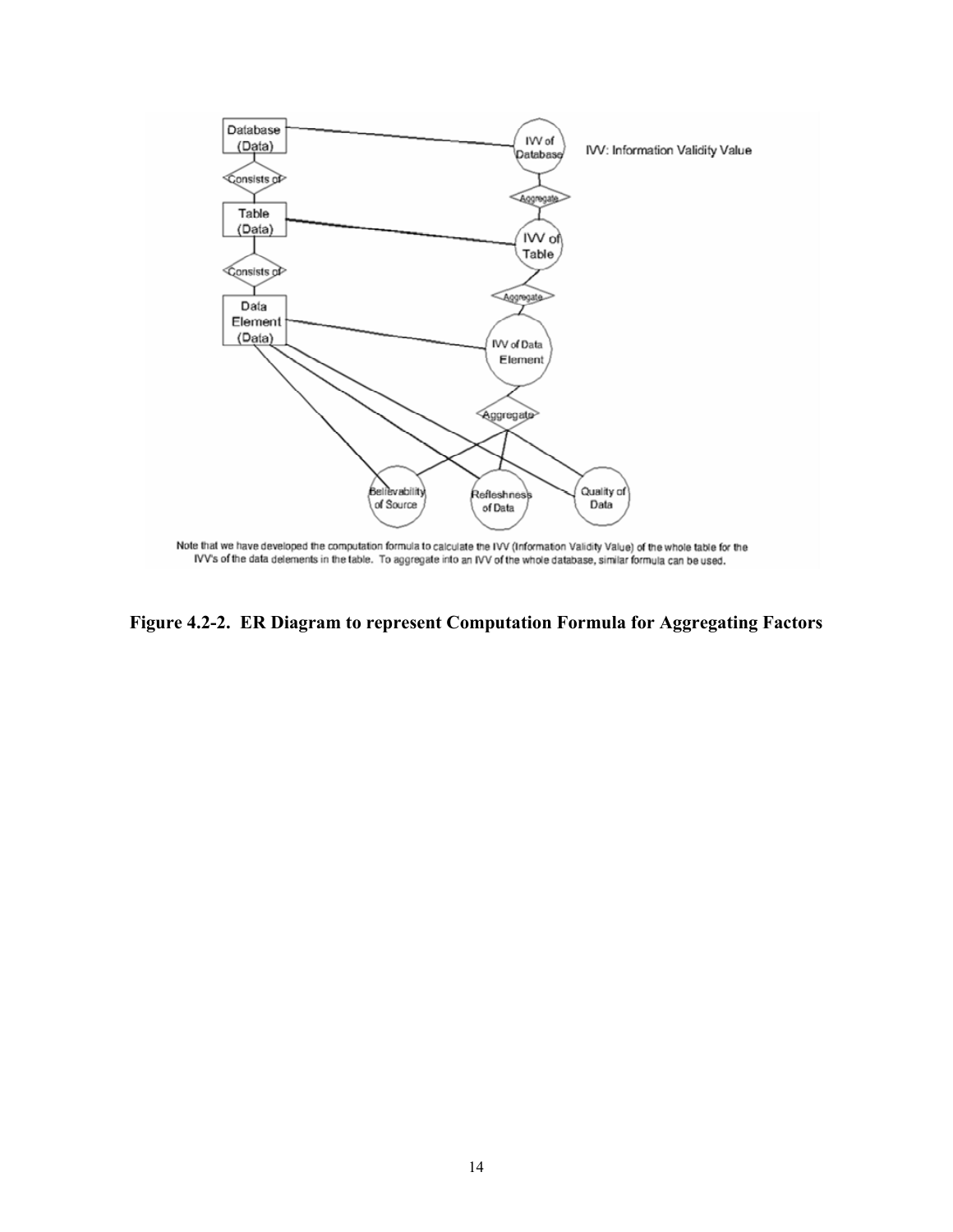

**Figure 4.2-2. ER Diagram to represent Computation Formula for Aggregating Factors**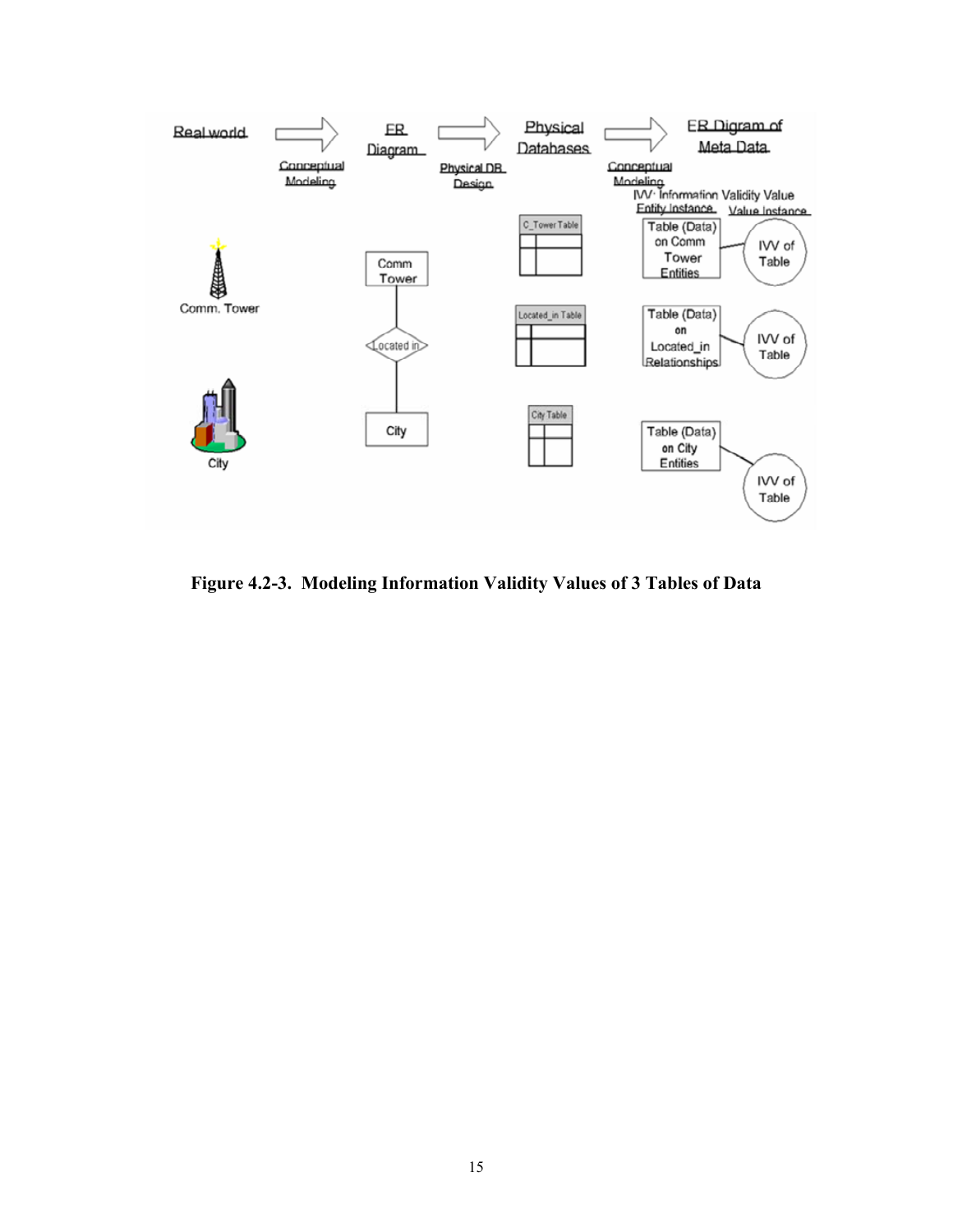

**Figure 4.2-3. Modeling Information Validity Values of 3 Tables of Data**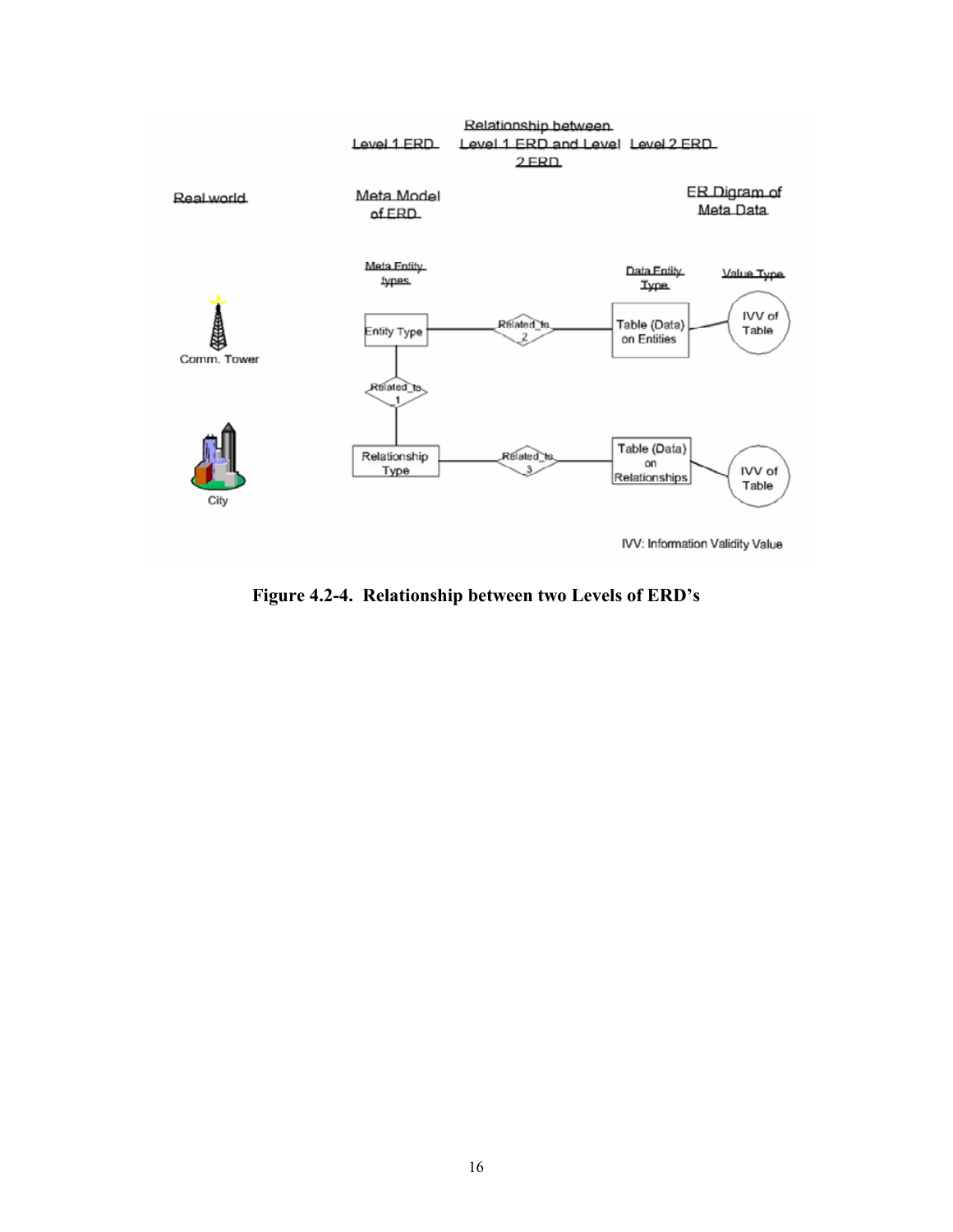

**Figure 4.2-4. Relationship between two Levels of ERD's**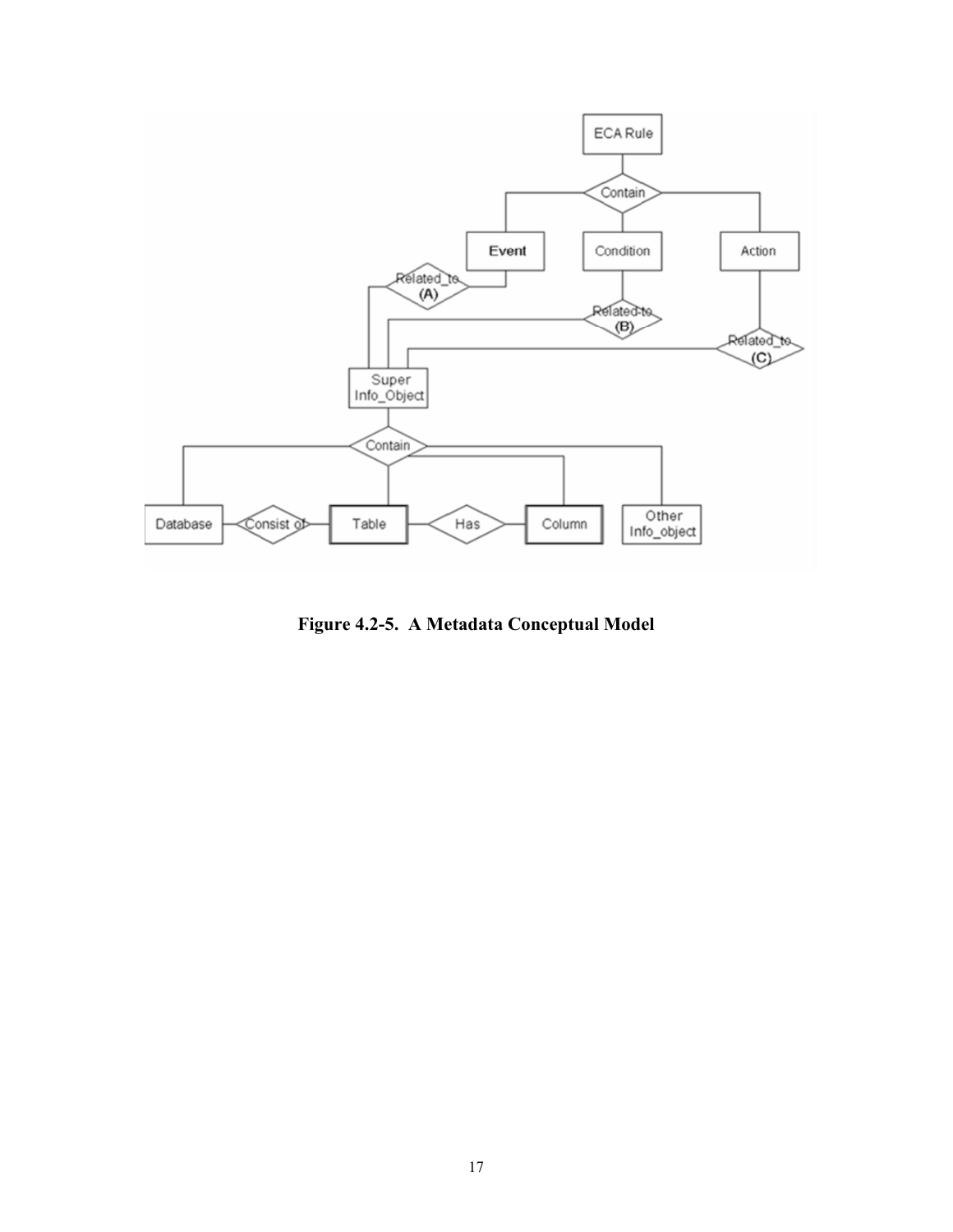

**Figure 4.2-5. A Metadata Conceptual Model**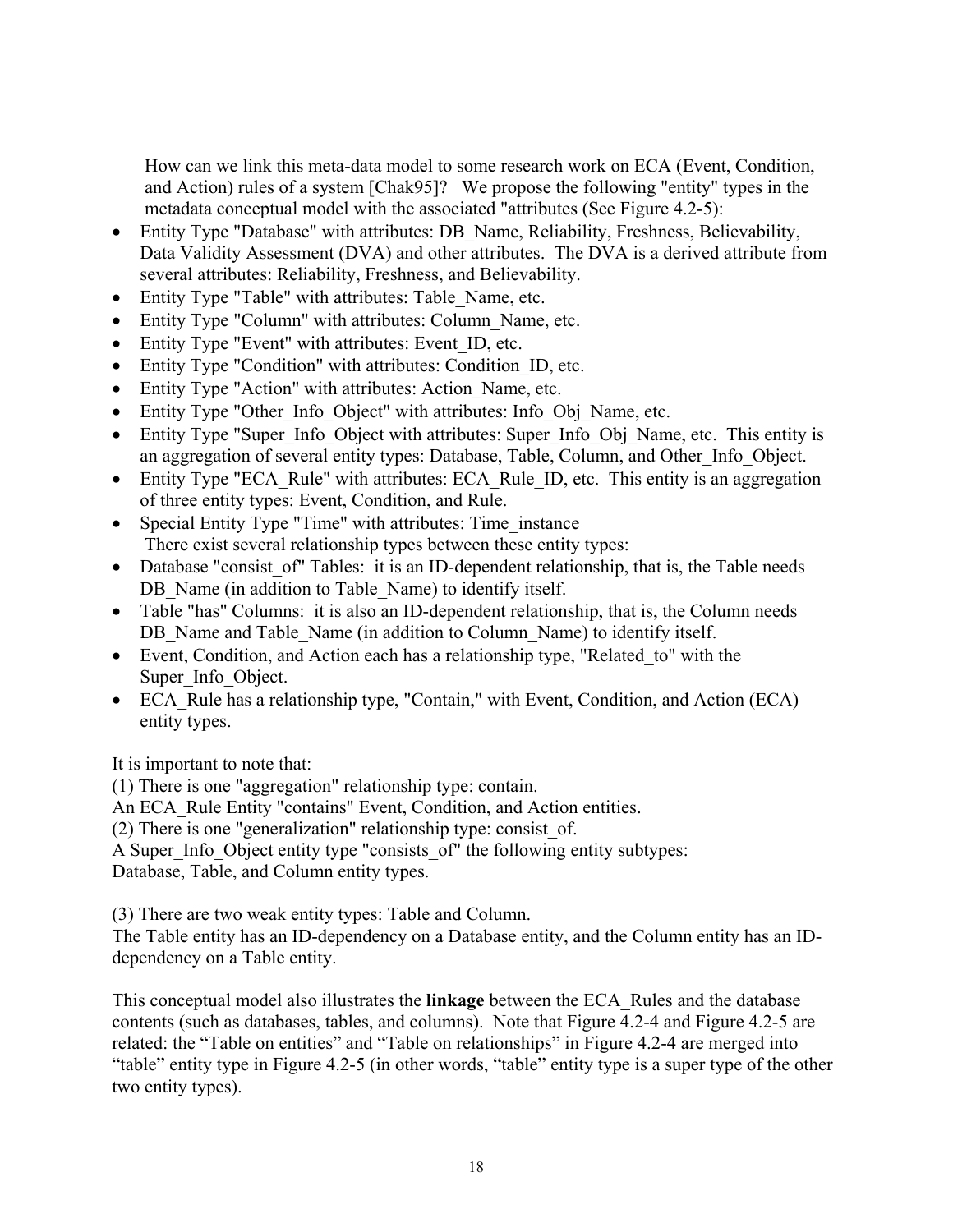How can we link this meta-data model to some research work on ECA (Event, Condition, and Action) rules of a system [Chak95]? We propose the following "entity" types in the metadata conceptual model with the associated "attributes (See Figure 4.2-5):

- Entity Type "Database" with attributes: DB\_Name, Reliability, Freshness, Believability, Data Validity Assessment (DVA) and other attributes. The DVA is a derived attribute from several attributes: Reliability, Freshness, and Believability.
- Entity Type "Table" with attributes: Table Name, etc.
- Entity Type "Column" with attributes: Column Name, etc.
- Entity Type "Event" with attributes: Event ID, etc.
- Entity Type "Condition" with attributes: Condition ID, etc.
- Entity Type "Action" with attributes: Action Name, etc.
- Entity Type "Other Info\_Object" with attributes: Info\_Obj\_Name, etc.
- Entity Type "Super Info Object with attributes: Super Info Obj Name, etc. This entity is an aggregation of several entity types: Database, Table, Column, and Other\_Info\_Object.
- Entity Type "ECA Rule" with attributes: ECA Rule ID, etc. This entity is an aggregation of three entity types: Event, Condition, and Rule.
- Special Entity Type "Time" with attributes: Time instance There exist several relationship types between these entity types:
- Database "consist of" Tables: it is an ID-dependent relationship, that is, the Table needs DB Name (in addition to Table Name) to identify itself.
- Table "has" Columns: it is also an ID-dependent relationship, that is, the Column needs DB Name and Table Name (in addition to Column Name) to identify itself.
- Event, Condition, and Action each has a relationship type, "Related to" with the Super Info Object.
- ECA Rule has a relationship type, "Contain," with Event, Condition, and Action (ECA) entity types.

It is important to note that:

(1) There is one "aggregation" relationship type: contain.

An ECA Rule Entity "contains" Event, Condition, and Action entities.

(2) There is one "generalization" relationship type: consist\_of.

A Super Info. Object entity type "consists of" the following entity subtypes: Database, Table, and Column entity types.

(3) There are two weak entity types: Table and Column.

The Table entity has an ID-dependency on a Database entity, and the Column entity has an IDdependency on a Table entity.

This conceptual model also illustrates the **linkage** between the ECA\_Rules and the database contents (such as databases, tables, and columns). Note that Figure 4.2-4 and Figure 4.2-5 are related: the "Table on entities" and "Table on relationships" in Figure 4.2-4 are merged into "table" entity type in Figure 4.2-5 (in other words, "table" entity type is a super type of the other two entity types).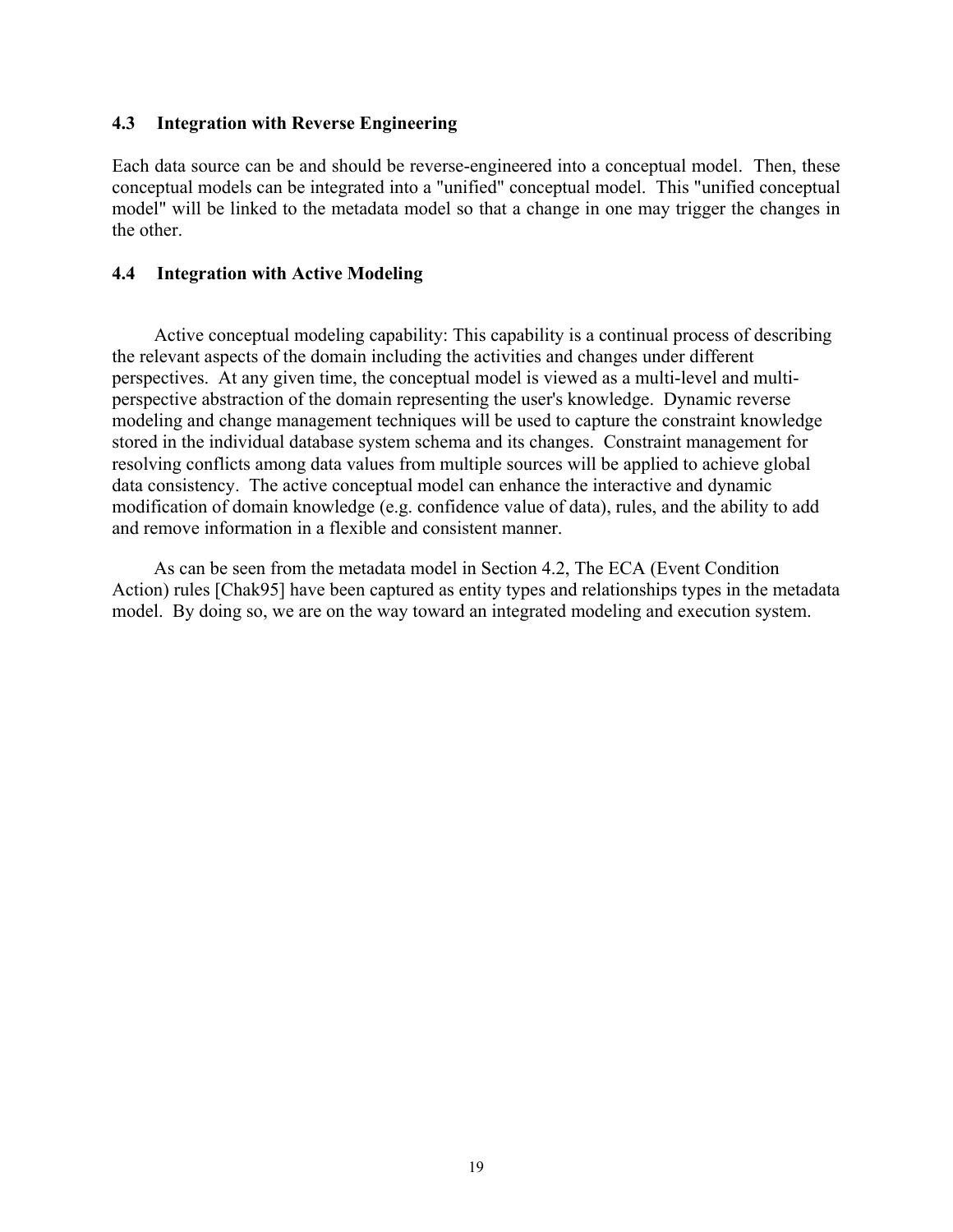### **4.3 Integration with Reverse Engineering**

Each data source can be and should be reverse-engineered into a conceptual model. Then, these conceptual models can be integrated into a "unified" conceptual model. This "unified conceptual model" will be linked to the metadata model so that a change in one may trigger the changes in the other.

## **4.4 Integration with Active Modeling**

Active conceptual modeling capability: This capability is a continual process of describing the relevant aspects of the domain including the activities and changes under different perspectives. At any given time, the conceptual model is viewed as a multi-level and multiperspective abstraction of the domain representing the user's knowledge. Dynamic reverse modeling and change management techniques will be used to capture the constraint knowledge stored in the individual database system schema and its changes. Constraint management for resolving conflicts among data values from multiple sources will be applied to achieve global data consistency. The active conceptual model can enhance the interactive and dynamic modification of domain knowledge (e.g. confidence value of data), rules, and the ability to add and remove information in a flexible and consistent manner.

As can be seen from the metadata model in Section 4.2, The ECA (Event Condition Action) rules [Chak95] have been captured as entity types and relationships types in the metadata model. By doing so, we are on the way toward an integrated modeling and execution system.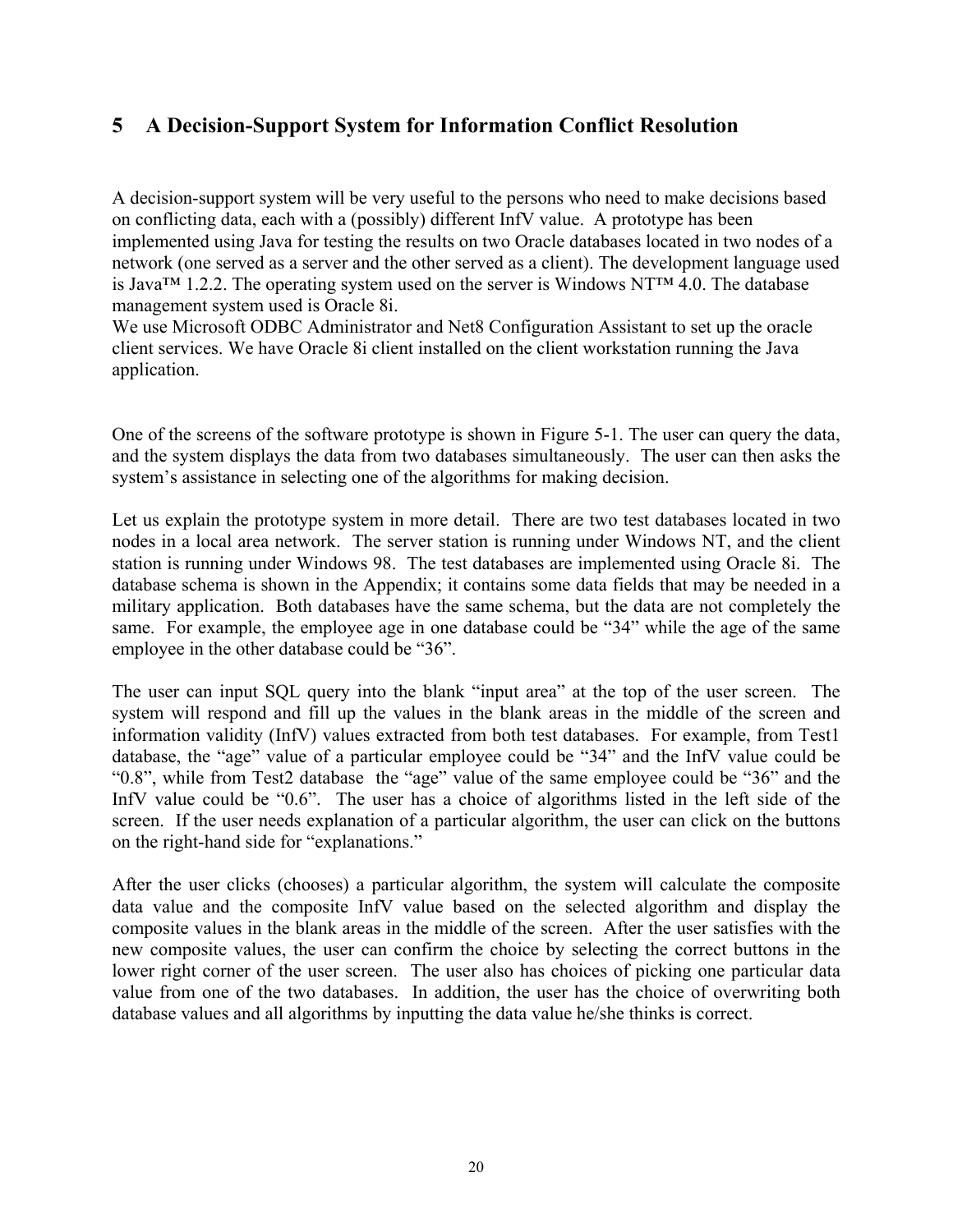# **5 A Decision-Support System for Information Conflict Resolution**

A decision-support system will be very useful to the persons who need to make decisions based on conflicting data, each with a (possibly) different InfV value. A prototype has been implemented using Java for testing the results on two Oracle databases located in two nodes of a network (one served as a server and the other served as a client). The development language used is Java™ 1.2.2. The operating system used on the server is Windows NT™ 4.0. The database management system used is Oracle 8i.

We use Microsoft ODBC Administrator and Net8 Configuration Assistant to set up the oracle client services. We have Oracle 8i client installed on the client workstation running the Java application.

One of the screens of the software prototype is shown in Figure 5-1. The user can query the data, and the system displays the data from two databases simultaneously. The user can then asks the system's assistance in selecting one of the algorithms for making decision.

Let us explain the prototype system in more detail. There are two test databases located in two nodes in a local area network. The server station is running under Windows NT, and the client station is running under Windows 98. The test databases are implemented using Oracle 8i. The database schema is shown in the Appendix; it contains some data fields that may be needed in a military application. Both databases have the same schema, but the data are not completely the same. For example, the employee age in one database could be "34" while the age of the same employee in the other database could be "36".

The user can input SQL query into the blank "input area" at the top of the user screen. The system will respond and fill up the values in the blank areas in the middle of the screen and information validity (InfV) values extracted from both test databases. For example, from Test1 database, the "age" value of a particular employee could be "34" and the InfV value could be "0.8", while from Test2 database the "age" value of the same employee could be "36" and the InfV value could be "0.6". The user has a choice of algorithms listed in the left side of the screen. If the user needs explanation of a particular algorithm, the user can click on the buttons on the right-hand side for "explanations."

After the user clicks (chooses) a particular algorithm, the system will calculate the composite data value and the composite InfV value based on the selected algorithm and display the composite values in the blank areas in the middle of the screen. After the user satisfies with the new composite values, the user can confirm the choice by selecting the correct buttons in the lower right corner of the user screen. The user also has choices of picking one particular data value from one of the two databases. In addition, the user has the choice of overwriting both database values and all algorithms by inputting the data value he/she thinks is correct.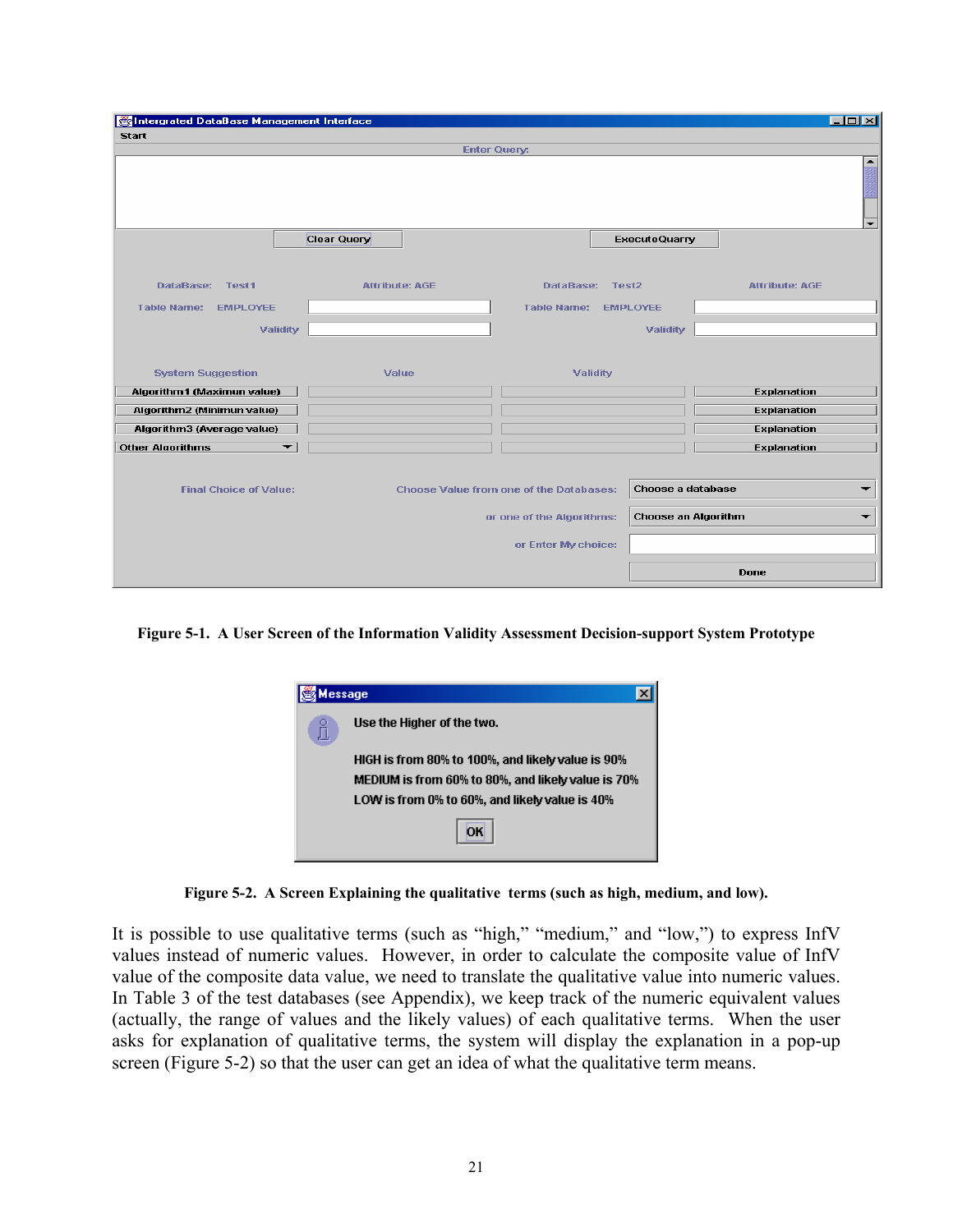| Intergrated DataBase Management Interface                            |                       |                     |                                                |                                      |                            |                                          | $ \Box$ $\times$            |
|----------------------------------------------------------------------|-----------------------|---------------------|------------------------------------------------|--------------------------------------|----------------------------|------------------------------------------|-----------------------------|
| <b>Start</b>                                                         |                       | <b>Enter Query:</b> |                                                |                                      |                            |                                          |                             |
|                                                                      |                       |                     |                                                |                                      |                            |                                          | $\frac{1}{\mathbb{E}}$<br>▼ |
|                                                                      | Clear Query           |                     |                                                |                                      | <b>ExecuteQuarry</b>       |                                          |                             |
| DataBase: Test1<br><b>Table Name:</b><br><b>EMPLOYEE</b><br>Validity | <b>Attribute: AGE</b> |                     | DataBase:<br><b>Table Name:</b>                | Test <sub>2</sub><br><b>EMPLOYEE</b> | Validity                   | <b>Attribute: AGE</b>                    |                             |
| <b>System Suggestion</b><br>Algorithm1 (Maximun value)               | Value                 |                     | Validity                                       |                                      |                            | <b>Explanation</b>                       |                             |
| Algorithm2 (Minimun value)<br>Algorithm3 (Average value)             |                       |                     |                                                |                                      |                            | <b>Explanation</b><br><b>Explanation</b> |                             |
| <b>Other Algorithms</b>                                              | ▼                     |                     |                                                |                                      |                            | <b>Explanation</b>                       |                             |
| <b>Final Choice of Value:</b>                                        |                       |                     | <b>Choose Value from one of the Databases:</b> |                                      | Choose a database          |                                          | ▼                           |
|                                                                      |                       |                     | or one of the Algorithms:                      |                                      | <b>Choose an Algorithm</b> |                                          | ▼                           |
|                                                                      |                       |                     | or Enter My choice:                            |                                      |                            |                                          |                             |
|                                                                      |                       |                     |                                                |                                      |                            | <b>Done</b>                              |                             |

**Figure 5-1. A User Screen of the Information Validity Assessment Decision-support System Prototype** 



**Figure 5-2. A Screen Explaining the qualitative terms (such as high, medium, and low).** 

It is possible to use qualitative terms (such as "high," "medium," and "low,") to express InfV values instead of numeric values. However, in order to calculate the composite value of InfV value of the composite data value, we need to translate the qualitative value into numeric values. In Table 3 of the test databases (see Appendix), we keep track of the numeric equivalent values (actually, the range of values and the likely values) of each qualitative terms. When the user asks for explanation of qualitative terms, the system will display the explanation in a pop-up screen (Figure 5-2) so that the user can get an idea of what the qualitative term means.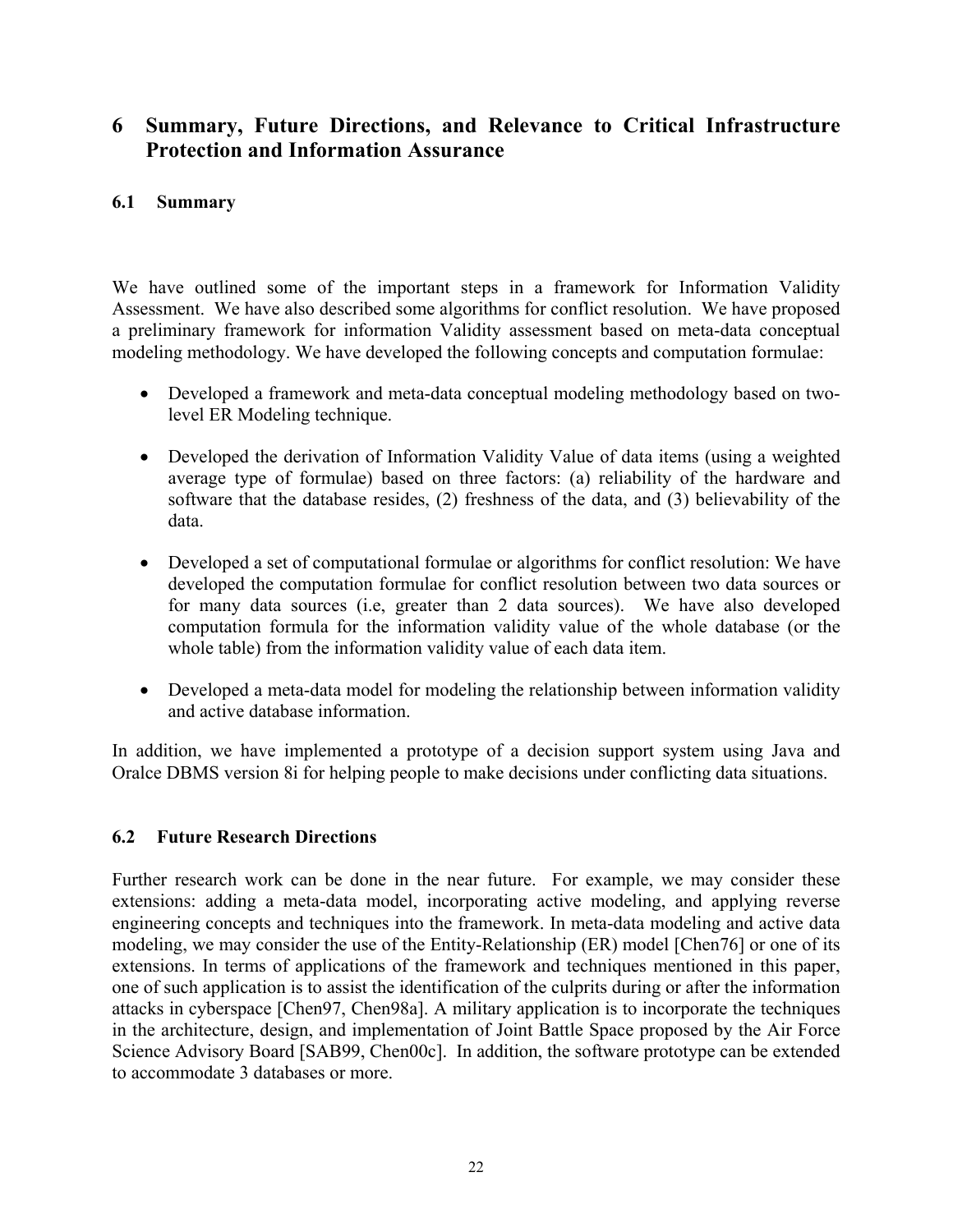# **6 Summary, Future Directions, and Relevance to Critical Infrastructure Protection and Information Assurance**

# **6.1 Summary**

We have outlined some of the important steps in a framework for Information Validity Assessment. We have also described some algorithms for conflict resolution. We have proposed a preliminary framework for information Validity assessment based on meta-data conceptual modeling methodology. We have developed the following concepts and computation formulae:

- Developed a framework and meta-data conceptual modeling methodology based on twolevel ER Modeling technique.
- Developed the derivation of Information Validity Value of data items (using a weighted average type of formulae) based on three factors: (a) reliability of the hardware and software that the database resides, (2) freshness of the data, and (3) believability of the data.
- Developed a set of computational formulae or algorithms for conflict resolution: We have developed the computation formulae for conflict resolution between two data sources or for many data sources (i.e, greater than 2 data sources). We have also developed computation formula for the information validity value of the whole database (or the whole table) from the information validity value of each data item.
- Developed a meta-data model for modeling the relationship between information validity and active database information.

In addition, we have implemented a prototype of a decision support system using Java and Oralce DBMS version 8i for helping people to make decisions under conflicting data situations.

# **6.2 Future Research Directions**

Further research work can be done in the near future. For example, we may consider these extensions: adding a meta-data model, incorporating active modeling, and applying reverse engineering concepts and techniques into the framework. In meta-data modeling and active data modeling, we may consider the use of the Entity-Relationship (ER) model [Chen76] or one of its extensions. In terms of applications of the framework and techniques mentioned in this paper, one of such application is to assist the identification of the culprits during or after the information attacks in cyberspace [Chen97, Chen98a]. A military application is to incorporate the techniques in the architecture, design, and implementation of Joint Battle Space proposed by the Air Force Science Advisory Board [SAB99, Chen00c]. In addition, the software prototype can be extended to accommodate 3 databases or more.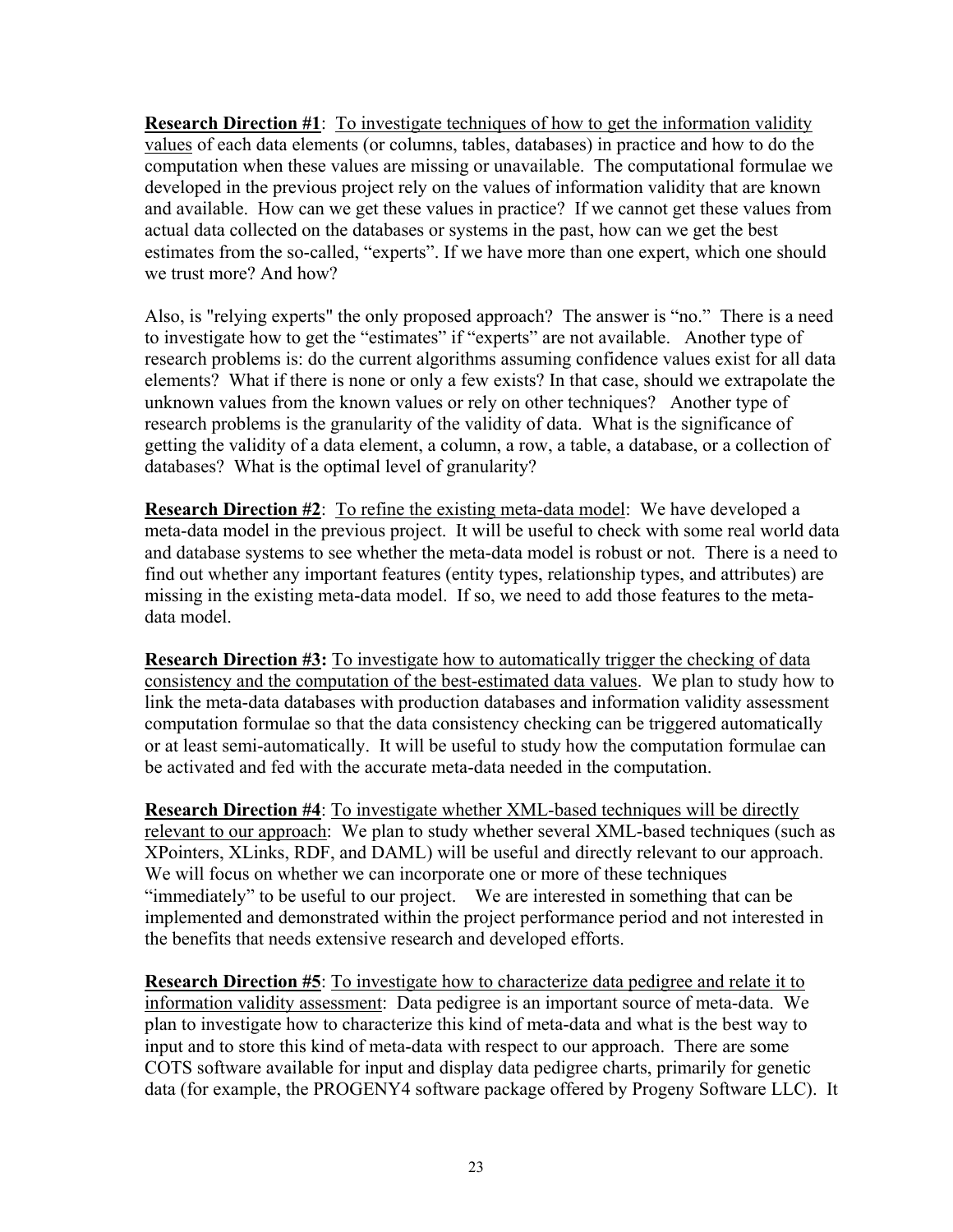**Research Direction #1**: To investigate techniques of how to get the information validity values of each data elements (or columns, tables, databases) in practice and how to do the computation when these values are missing or unavailable. The computational formulae we developed in the previous project rely on the values of information validity that are known and available. How can we get these values in practice? If we cannot get these values from actual data collected on the databases or systems in the past, how can we get the best estimates from the so-called, "experts". If we have more than one expert, which one should we trust more? And how?

Also, is "relying experts" the only proposed approach? The answer is "no." There is a need to investigate how to get the "estimates" if "experts" are not available. Another type of research problems is: do the current algorithms assuming confidence values exist for all data elements? What if there is none or only a few exists? In that case, should we extrapolate the unknown values from the known values or rely on other techniques? Another type of research problems is the granularity of the validity of data. What is the significance of getting the validity of a data element, a column, a row, a table, a database, or a collection of databases? What is the optimal level of granularity?

**Research Direction #2**: To refine the existing meta-data model: We have developed a meta-data model in the previous project. It will be useful to check with some real world data and database systems to see whether the meta-data model is robust or not. There is a need to find out whether any important features (entity types, relationship types, and attributes) are missing in the existing meta-data model. If so, we need to add those features to the metadata model.

**Research Direction #3:** To investigate how to automatically trigger the checking of data consistency and the computation of the best-estimated data values. We plan to study how to link the meta-data databases with production databases and information validity assessment computation formulae so that the data consistency checking can be triggered automatically or at least semi-automatically. It will be useful to study how the computation formulae can be activated and fed with the accurate meta-data needed in the computation.

**Research Direction #4**: To investigate whether XML-based techniques will be directly relevant to our approach: We plan to study whether several XML-based techniques (such as XPointers, XLinks, RDF, and DAML) will be useful and directly relevant to our approach. We will focus on whether we can incorporate one or more of these techniques "immediately" to be useful to our project. We are interested in something that can be implemented and demonstrated within the project performance period and not interested in the benefits that needs extensive research and developed efforts.

**Research Direction #5**: To investigate how to characterize data pedigree and relate it to information validity assessment: Data pedigree is an important source of meta-data. We plan to investigate how to characterize this kind of meta-data and what is the best way to input and to store this kind of meta-data with respect to our approach. There are some COTS software available for input and display data pedigree charts, primarily for genetic data (for example, the PROGENY4 software package offered by Progeny Software LLC). It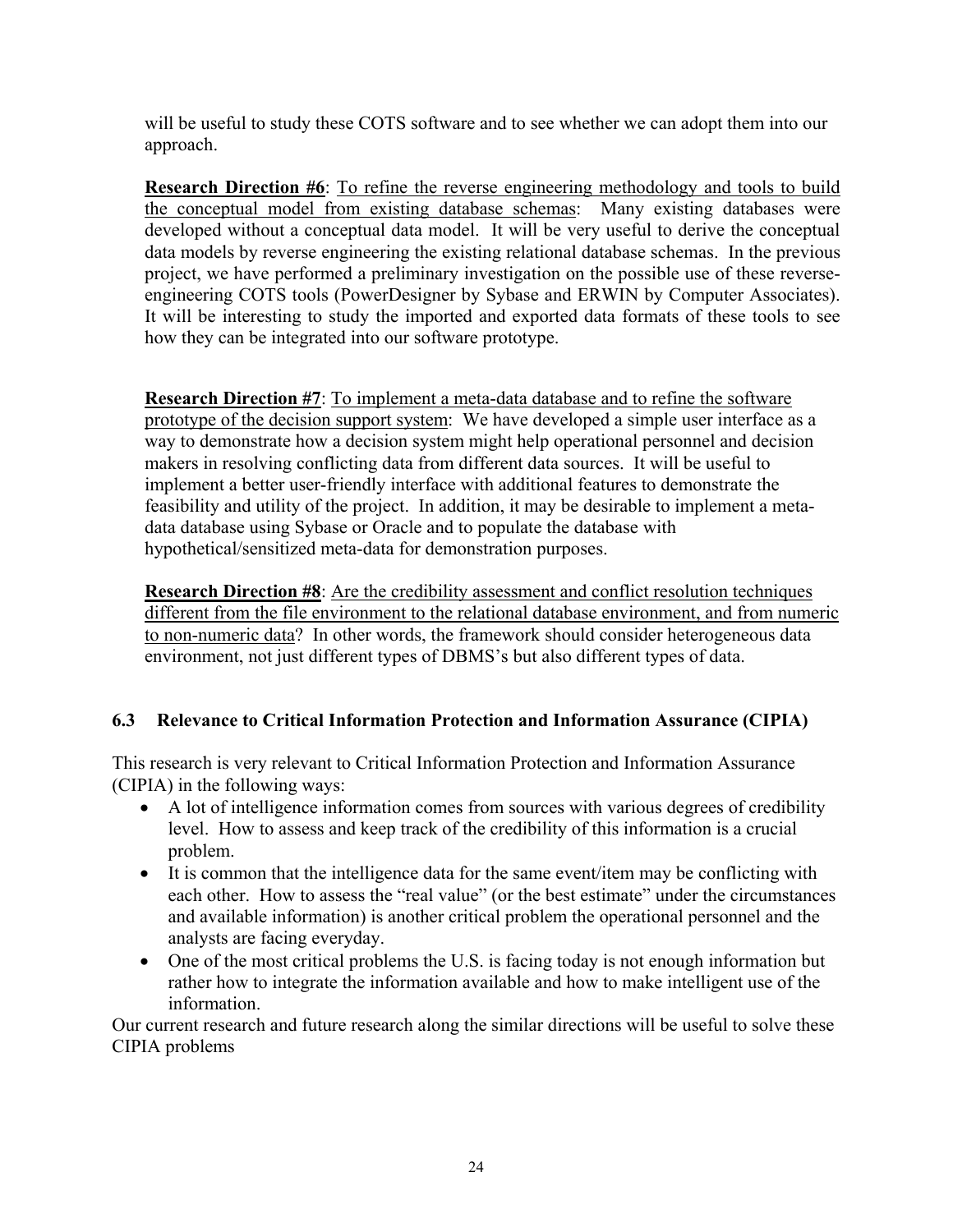will be useful to study these COTS software and to see whether we can adopt them into our approach.

**Research Direction #6**: To refine the reverse engineering methodology and tools to build the conceptual model from existing database schemas: Many existing databases were developed without a conceptual data model. It will be very useful to derive the conceptual data models by reverse engineering the existing relational database schemas. In the previous project, we have performed a preliminary investigation on the possible use of these reverseengineering COTS tools (PowerDesigner by Sybase and ERWIN by Computer Associates). It will be interesting to study the imported and exported data formats of these tools to see how they can be integrated into our software prototype.

**Research Direction #7**: To implement a meta-data database and to refine the software prototype of the decision support system: We have developed a simple user interface as a way to demonstrate how a decision system might help operational personnel and decision makers in resolving conflicting data from different data sources. It will be useful to implement a better user-friendly interface with additional features to demonstrate the feasibility and utility of the project. In addition, it may be desirable to implement a metadata database using Sybase or Oracle and to populate the database with hypothetical/sensitized meta-data for demonstration purposes.

**Research Direction #8**: Are the credibility assessment and conflict resolution techniques different from the file environment to the relational database environment, and from numeric to non-numeric data? In other words, the framework should consider heterogeneous data environment, not just different types of DBMS's but also different types of data.

# **6.3 Relevance to Critical Information Protection and Information Assurance (CIPIA)**

This research is very relevant to Critical Information Protection and Information Assurance (CIPIA) in the following ways:

- A lot of intelligence information comes from sources with various degrees of credibility level. How to assess and keep track of the credibility of this information is a crucial problem.
- It is common that the intelligence data for the same event/item may be conflicting with each other. How to assess the "real value" (or the best estimate" under the circumstances and available information) is another critical problem the operational personnel and the analysts are facing everyday.
- One of the most critical problems the U.S. is facing today is not enough information but rather how to integrate the information available and how to make intelligent use of the information.

Our current research and future research along the similar directions will be useful to solve these CIPIA problems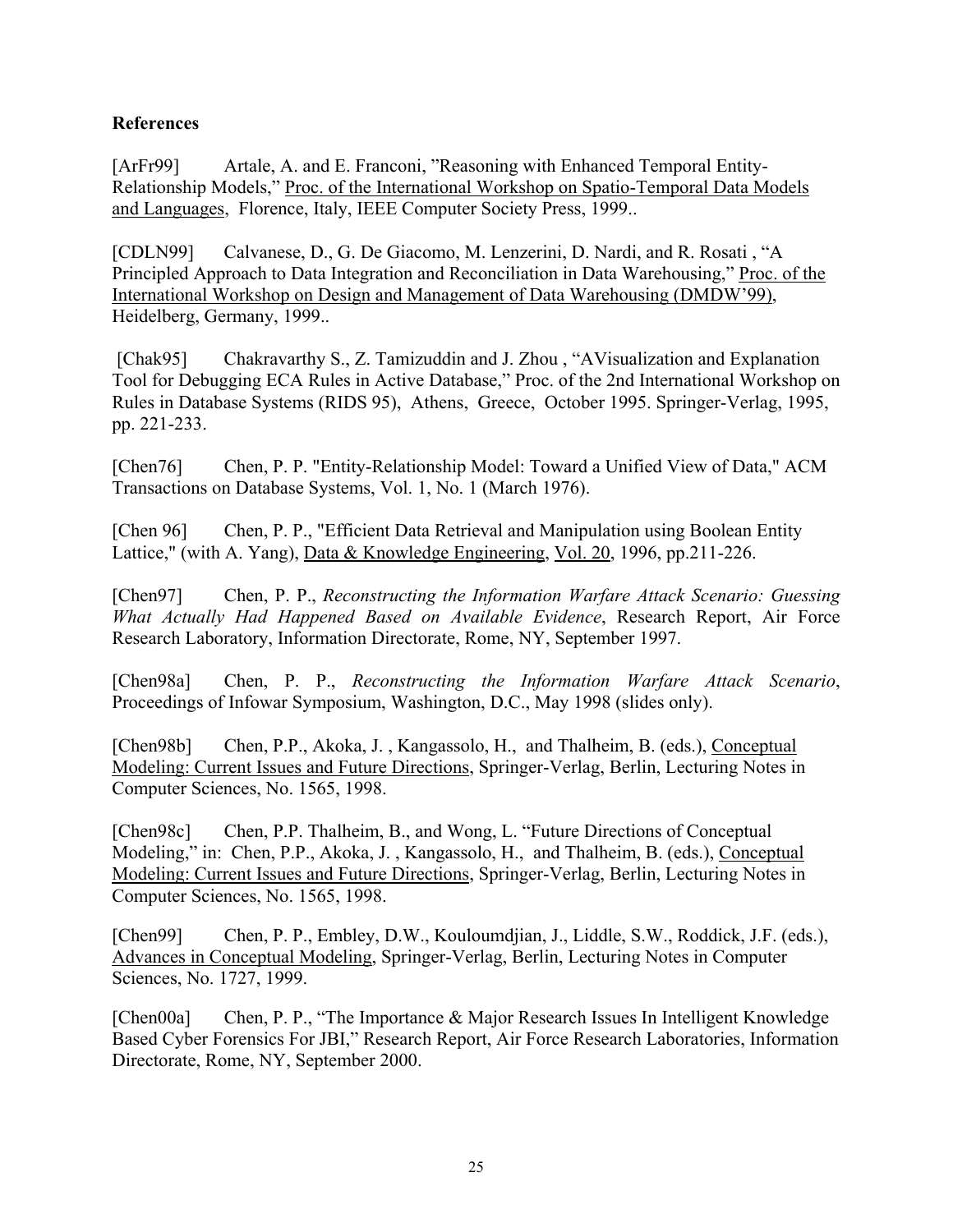# **References**

[ArFr99] Artale, A. and E. Franconi, "Reasoning with Enhanced Temporal Entity-Relationship Models," Proc. of the International Workshop on Spatio-Temporal Data Models and Languages, Florence, Italy, IEEE Computer Society Press, 1999..

[CDLN99] Calvanese, D., G. De Giacomo, M. Lenzerini, D. Nardi, and R. Rosati , "A Principled Approach to Data Integration and Reconciliation in Data Warehousing," Proc. of the International Workshop on Design and Management of Data Warehousing (DMDW'99), Heidelberg, Germany, 1999..

 [Chak95] Chakravarthy S., Z. Tamizuddin and J. Zhou , "AVisualization and Explanation Tool for Debugging ECA Rules in Active Database," Proc. of the 2nd International Workshop on Rules in Database Systems (RIDS 95), Athens, Greece, October 1995. Springer-Verlag, 1995, pp. 221-233.

[Chen76] Chen, P. P. "Entity-Relationship Model: Toward a Unified View of Data," ACM Transactions on Database Systems, Vol. 1, No. 1 (March 1976).

[Chen 96] Chen, P. P., "Efficient Data Retrieval and Manipulation using Boolean Entity Lattice," (with A. Yang), Data & Knowledge Engineering, Vol. 20, 1996, pp.211-226.

[Chen97] Chen, P. P., *Reconstructing the Information Warfare Attack Scenario: Guessing What Actually Had Happened Based on Available Evidence*, Research Report, Air Force Research Laboratory, Information Directorate, Rome, NY, September 1997.

[Chen98a] Chen, P. P., *Reconstructing the Information Warfare Attack Scenario*, Proceedings of Infowar Symposium, Washington, D.C., May 1998 (slides only).

[Chen98b] Chen, P.P., Akoka, J., Kangassolo, H., and Thalheim, B. (eds.), Conceptual Modeling: Current Issues and Future Directions, Springer-Verlag, Berlin, Lecturing Notes in Computer Sciences, No. 1565, 1998.

[Chen98c] Chen, P.P. Thalheim, B., and Wong, L. "Future Directions of Conceptual Modeling," in: Chen, P.P., Akoka, J. , Kangassolo, H., and Thalheim, B. (eds.), Conceptual Modeling: Current Issues and Future Directions, Springer-Verlag, Berlin, Lecturing Notes in Computer Sciences, No. 1565, 1998.

[Chen99] Chen, P. P., Embley, D.W., Kouloumdjian, J., Liddle, S.W., Roddick, J.F. (eds.), Advances in Conceptual Modeling, Springer-Verlag, Berlin, Lecturing Notes in Computer Sciences, No. 1727, 1999.

[Chen00a] Chen, P. P., "The Importance & Major Research Issues In Intelligent Knowledge Based Cyber Forensics For JBI," Research Report, Air Force Research Laboratories, Information Directorate, Rome, NY, September 2000.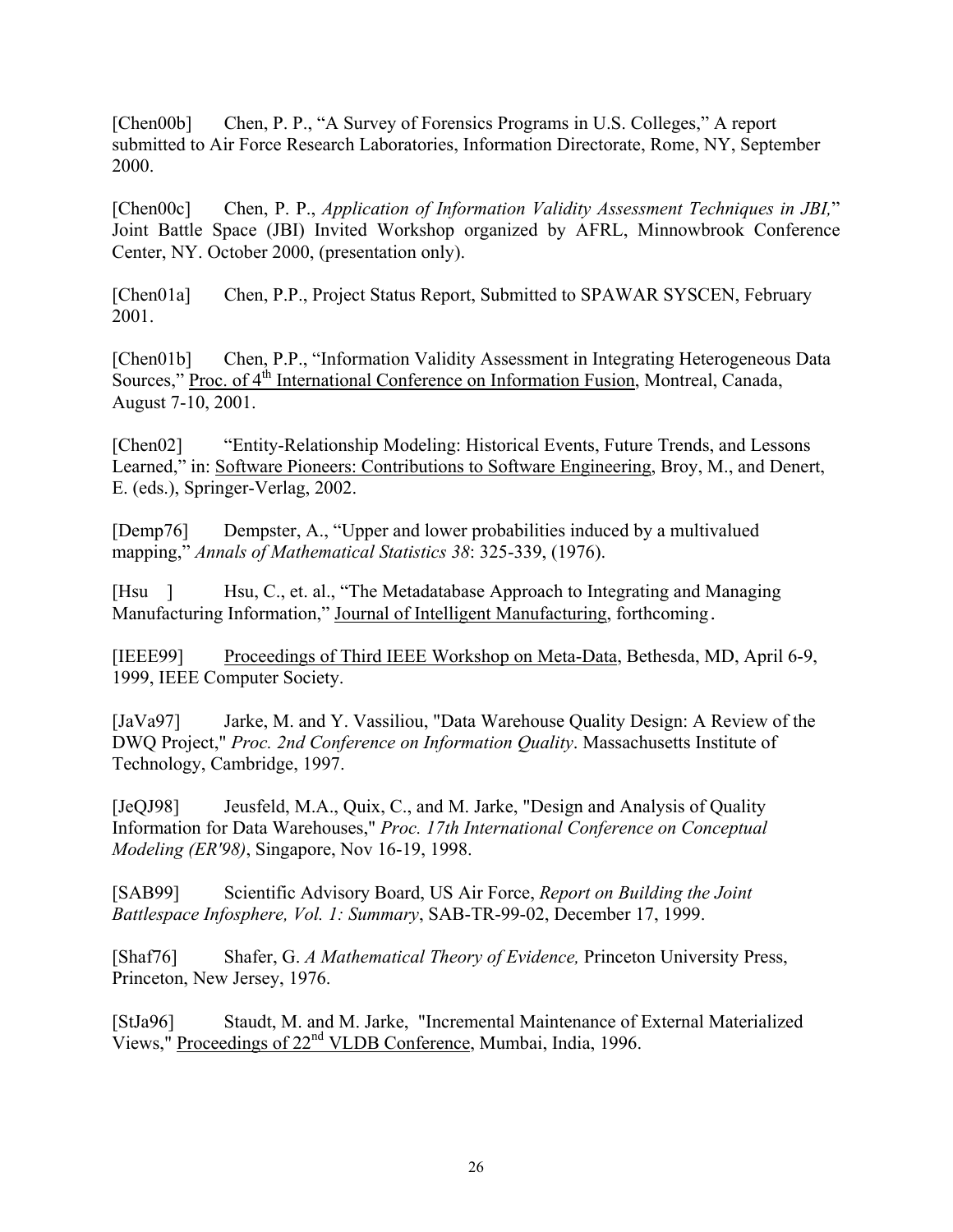[Chen00b] Chen, P. P., "A Survey of Forensics Programs in U.S. Colleges," A report submitted to Air Force Research Laboratories, Information Directorate, Rome, NY, September 2000.

[Chen00c] Chen, P. P., *Application of Information Validity Assessment Techniques in JBI,*" Joint Battle Space (JBI) Invited Workshop organized by AFRL, Minnowbrook Conference Center, NY. October 2000, (presentation only).

[Chen01a] Chen, P.P., Project Status Report, Submitted to SPAWAR SYSCEN, February 2001.

[Chen01b] Chen, P.P., "Information Validity Assessment in Integrating Heterogeneous Data Sources," Proc. of 4<sup>th</sup> International Conference on Information Fusion, Montreal, Canada, August 7-10, 2001.

[Chen02] "Entity-Relationship Modeling: Historical Events, Future Trends, and Lessons Learned," in: Software Pioneers: Contributions to Software Engineering, Broy, M., and Denert, E. (eds.), Springer-Verlag, 2002.

[Demp76] Dempster, A., "Upper and lower probabilities induced by a multivalued mapping," *Annals of Mathematical Statistics 38*: 325-339, (1976).

[Hsu ] Hsu, C., et. al., "The Metadatabase Approach to Integrating and Managing Manufacturing Information," Journal of Intelligent Manufacturing, forthcoming.

[IEEE99] Proceedings of Third IEEE Workshop on Meta-Data, Bethesda, MD, April 6-9, 1999, IEEE Computer Society.

[JaVa97] Jarke, M. and Y. Vassiliou, "Data Warehouse Quality Design: A Review of the DWQ Project," *Proc. 2nd Conference on Information Quality*. Massachusetts Institute of Technology, Cambridge, 1997.

[JeQJ98] Jeusfeld, M.A., Quix, C., and M. Jarke, "Design and Analysis of Quality Information for Data Warehouses," *Proc. 17th International Conference on Conceptual Modeling (ER'98)*, Singapore, Nov 16-19, 1998.

[SAB99] Scientific Advisory Board, US Air Force, *Report on Building the Joint Battlespace Infosphere, Vol. 1: Summary*, SAB-TR-99-02, December 17, 1999.

[Shaf76] Shafer, G. *A Mathematical Theory of Evidence,* Princeton University Press, Princeton, New Jersey, 1976.

[StJa96] Staudt, M. and M. Jarke, "Incremental Maintenance of External Materialized Views," Proceedings of 22nd VLDB Conference, Mumbai, India, 1996.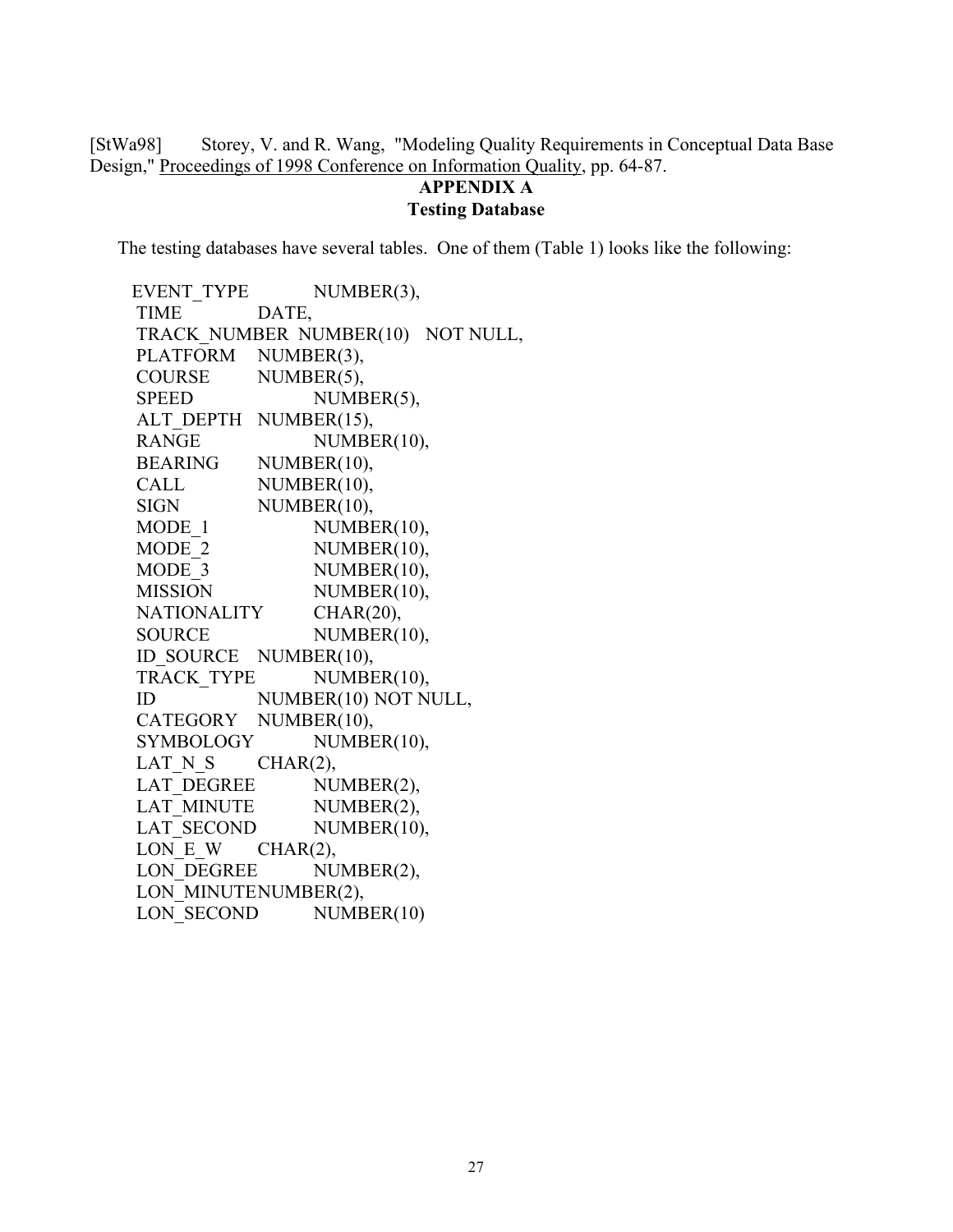[StWa98] Storey, V. and R. Wang, "Modeling Quality Requirements in Conceptual Data Base Design," Proceedings of 1998 Conference on Information Quality, pp. 64-87.

#### **APPENDIX A Testing Database**

The testing databases have several tables. One of them (Table 1) looks like the following:

EVENT TYPE NUMBER(3), TIME DATE, TRACK\_NUMBER NUMBER(10) NOT NULL, PLATFORM NUMBER(3), COURSE NUMBER(5), SPEED NUMBER(5), ALT DEPTH NUMBER(15), RANGE NUMBER(10), BEARING NUMBER(10), CALL NUMBER(10), SIGN NUMBER(10), MODE 1 NUMBER(10), MODE 2 NUMBER(10), MODE 3 NUMBER(10), MISSION NUMBER(10), NATIONALITY CHAR(20), SOURCE NUMBER(10), ID\_SOURCE NUMBER(10), TRACK TYPE NUMBER(10), ID NUMBER(10) NOT NULL, CATEGORY NUMBER(10), SYMBOLOGY NUMBER(10), LAT N S CHAR(2), LAT\_DEGREE NUMBER(2), LAT MINUTE NUMBER(2), LAT SECOND NUMBER(10), LON E W CHAR(2), LON DEGREE NUMBER(2), LON\_MINUTENUMBER(2), LON SECOND NUMBER(10)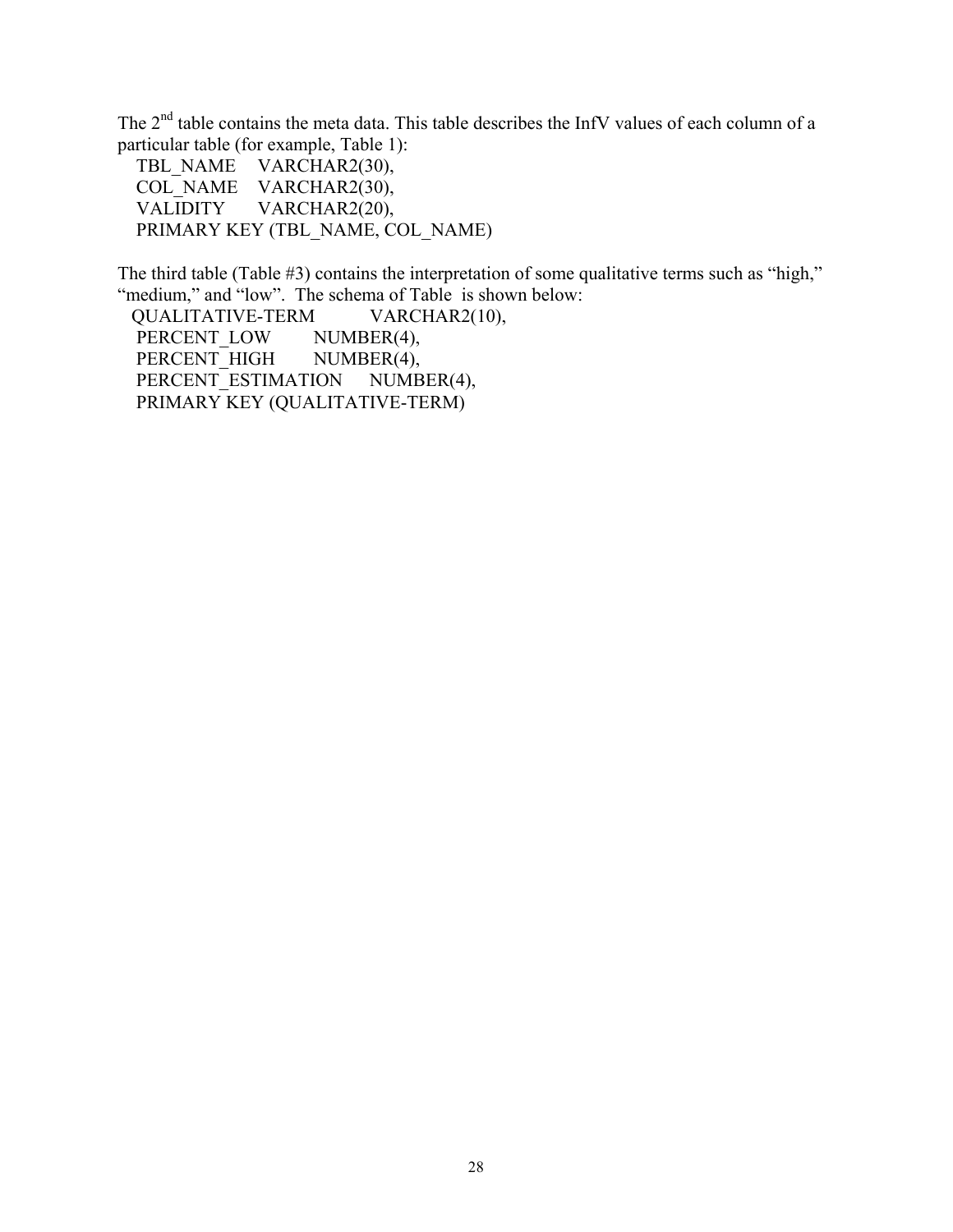The 2<sup>nd</sup> table contains the meta data. This table describes the InfV values of each column of a particular table (for example, Table 1):

TBL\_NAME VARCHAR2(30), COL\_NAME VARCHAR2(30), VALIDITY VARCHAR2(20), PRIMARY KEY (TBL\_NAME, COL\_NAME)

The third table (Table #3) contains the interpretation of some qualitative terms such as "high," "medium," and "low". The schema of Table is shown below:

 QUALITATIVE-TERM VARCHAR2(10), PERCENT LOW NUMBER(4), PERCENT HIGH NUMBER(4), PERCENT\_ESTIMATION NUMBER(4), PRIMARY KEY (QUALITATIVE-TERM)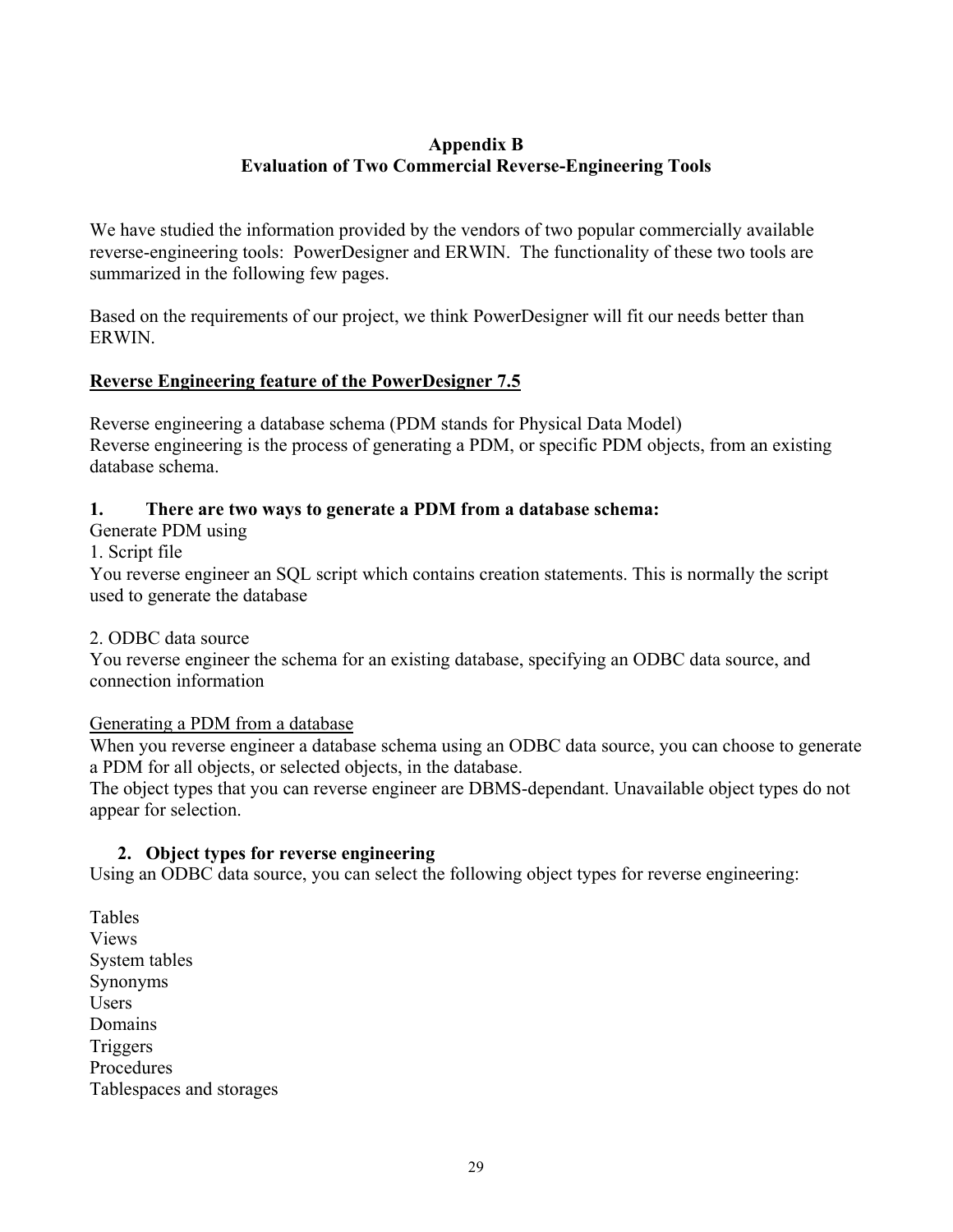# **Appendix B Evaluation of Two Commercial Reverse-Engineering Tools**

We have studied the information provided by the vendors of two popular commercially available reverse-engineering tools: PowerDesigner and ERWIN. The functionality of these two tools are summarized in the following few pages.

Based on the requirements of our project, we think PowerDesigner will fit our needs better than ERWIN.

# **Reverse Engineering feature of the PowerDesigner 7.5**

Reverse engineering a database schema (PDM stands for Physical Data Model) Reverse engineering is the process of generating a PDM, or specific PDM objects, from an existing database schema.

# **1. There are two ways to generate a PDM from a database schema:**

Generate PDM using

1. Script file

You reverse engineer an SQL script which contains creation statements. This is normally the script used to generate the database

# 2. ODBC data source

You reverse engineer the schema for an existing database, specifying an ODBC data source, and connection information

# Generating a PDM from a database

When you reverse engineer a database schema using an ODBC data source, you can choose to generate a PDM for all objects, or selected objects, in the database.

The object types that you can reverse engineer are DBMS-dependant. Unavailable object types do not appear for selection.

# **2. Object types for reverse engineering**

Using an ODBC data source, you can select the following object types for reverse engineering:

Tables Views System tables Synonyms **Users** Domains Triggers Procedures Tablespaces and storages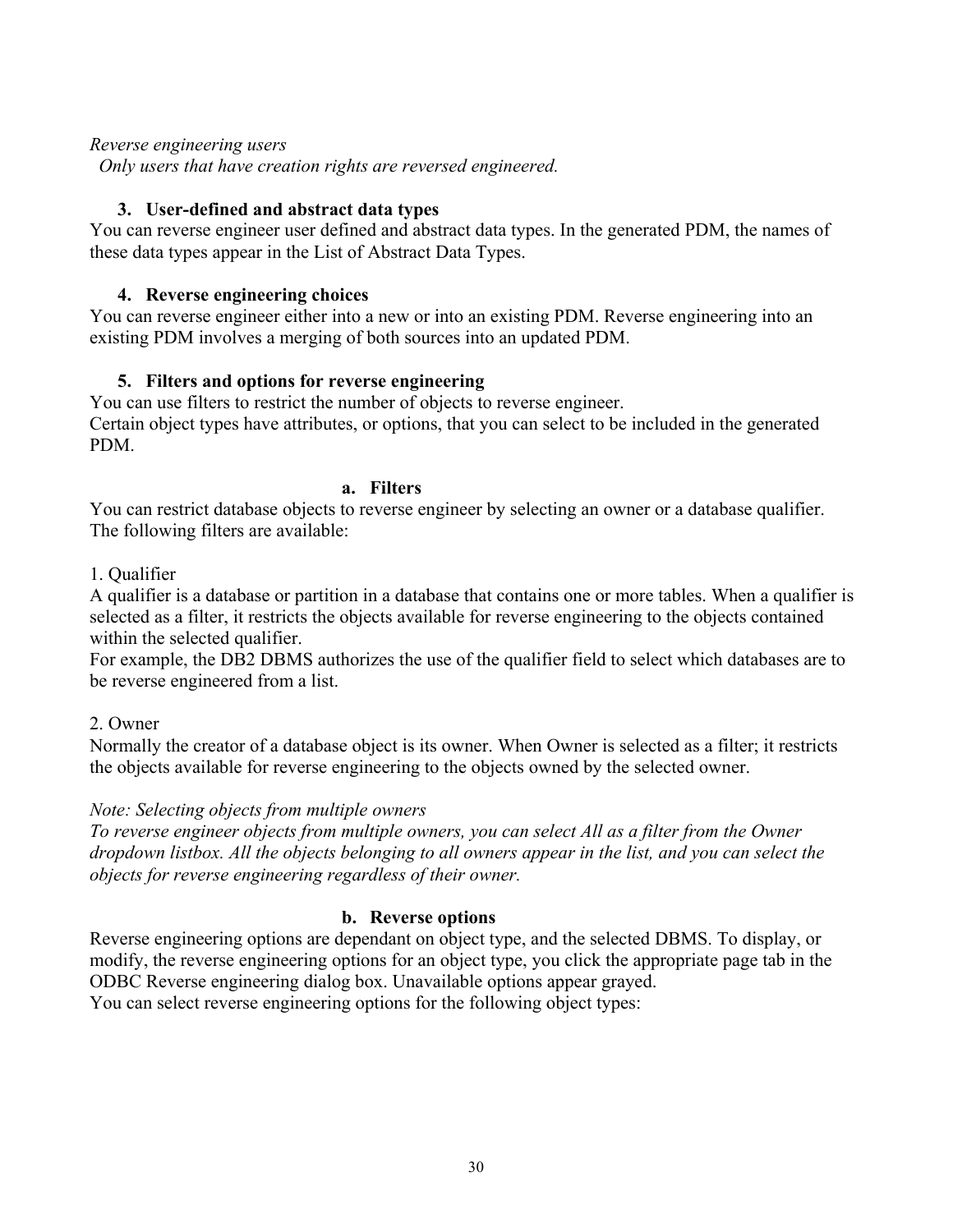### *Reverse engineering users*

 *Only users that have creation rights are reversed engineered.* 

### **3. User-defined and abstract data types**

You can reverse engineer user defined and abstract data types. In the generated PDM, the names of these data types appear in the List of Abstract Data Types.

### **4. Reverse engineering choices**

You can reverse engineer either into a new or into an existing PDM. Reverse engineering into an existing PDM involves a merging of both sources into an updated PDM.

## **5. Filters and options for reverse engineering**

You can use filters to restrict the number of objects to reverse engineer. Certain object types have attributes, or options, that you can select to be included in the generated PDM.

#### **a. Filters**

You can restrict database objects to reverse engineer by selecting an owner or a database qualifier. The following filters are available:

### 1. Qualifier

A qualifier is a database or partition in a database that contains one or more tables. When a qualifier is selected as a filter, it restricts the objects available for reverse engineering to the objects contained within the selected qualifier.

For example, the DB2 DBMS authorizes the use of the qualifier field to select which databases are to be reverse engineered from a list.

### 2. Owner

Normally the creator of a database object is its owner. When Owner is selected as a filter; it restricts the objects available for reverse engineering to the objects owned by the selected owner.

### *Note: Selecting objects from multiple owners*

*To reverse engineer objects from multiple owners, you can select All as a filter from the Owner dropdown listbox. All the objects belonging to all owners appear in the list, and you can select the objects for reverse engineering regardless of their owner.* 

### **b. Reverse options**

Reverse engineering options are dependant on object type, and the selected DBMS. To display, or modify, the reverse engineering options for an object type, you click the appropriate page tab in the ODBC Reverse engineering dialog box. Unavailable options appear grayed. You can select reverse engineering options for the following object types: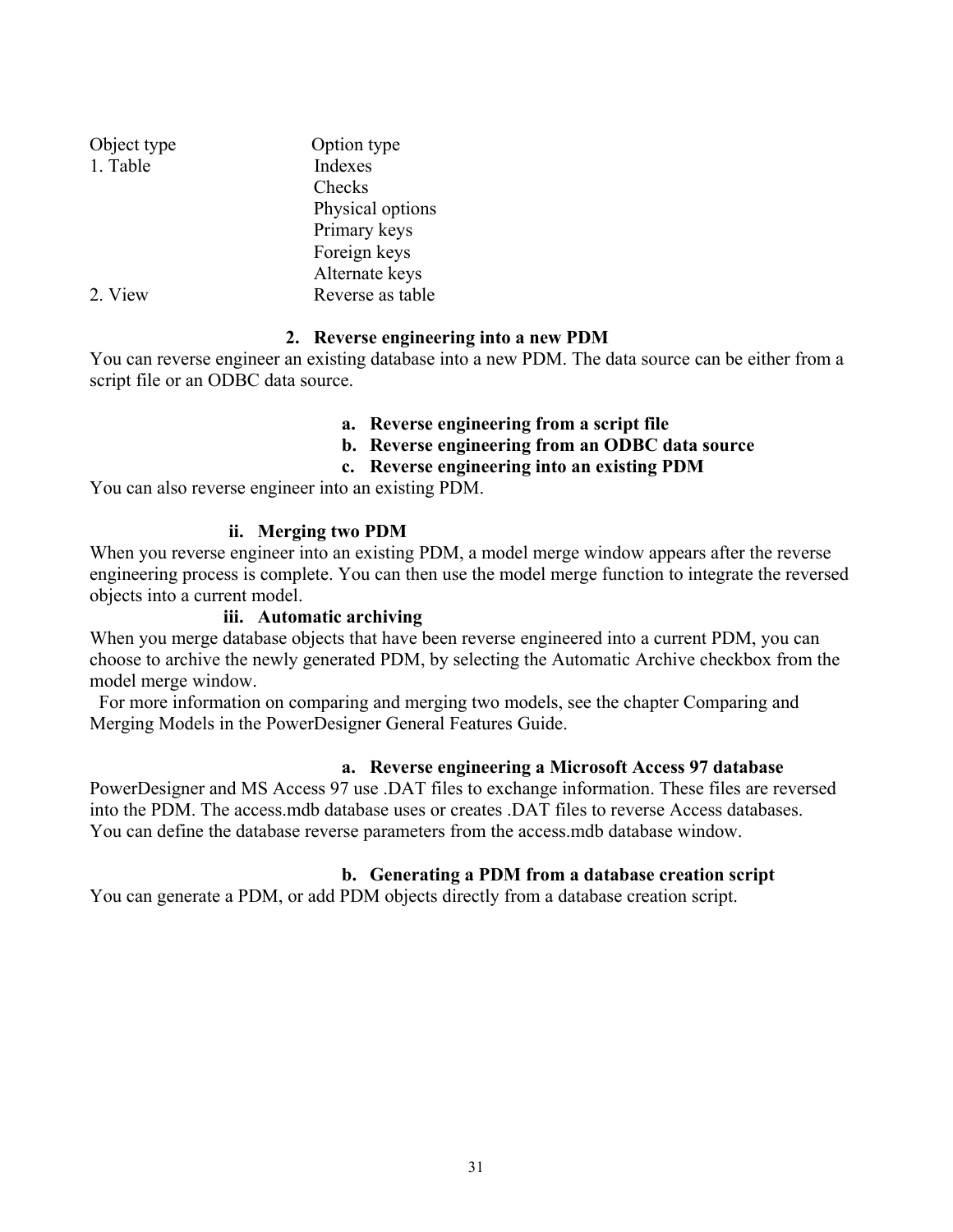| Object type | Option type      |
|-------------|------------------|
| 1. Table    | Indexes          |
|             | Checks           |
|             | Physical options |
|             | Primary keys     |
|             | Foreign keys     |
|             | Alternate keys   |
| 2. View     | Reverse as table |

## **2. Reverse engineering into a new PDM**

You can reverse engineer an existing database into a new PDM. The data source can be either from a script file or an ODBC data source.

## **a. Reverse engineering from a script file**

- **b. Reverse engineering from an ODBC data source**
- **c. Reverse engineering into an existing PDM**

You can also reverse engineer into an existing PDM.

### **ii. Merging two PDM**

When you reverse engineer into an existing PDM, a model merge window appears after the reverse engineering process is complete. You can then use the model merge function to integrate the reversed objects into a current model.

### **iii. Automatic archiving**

When you merge database objects that have been reverse engineered into a current PDM, you can choose to archive the newly generated PDM, by selecting the Automatic Archive checkbox from the model merge window.

 For more information on comparing and merging two models, see the chapter Comparing and Merging Models in the PowerDesigner General Features Guide.

### **a. Reverse engineering a Microsoft Access 97 database**

PowerDesigner and MS Access 97 use .DAT files to exchange information. These files are reversed into the PDM. The access.mdb database uses or creates .DAT files to reverse Access databases. You can define the database reverse parameters from the access.mdb database window.

### **b. Generating a PDM from a database creation script**

You can generate a PDM, or add PDM objects directly from a database creation script.